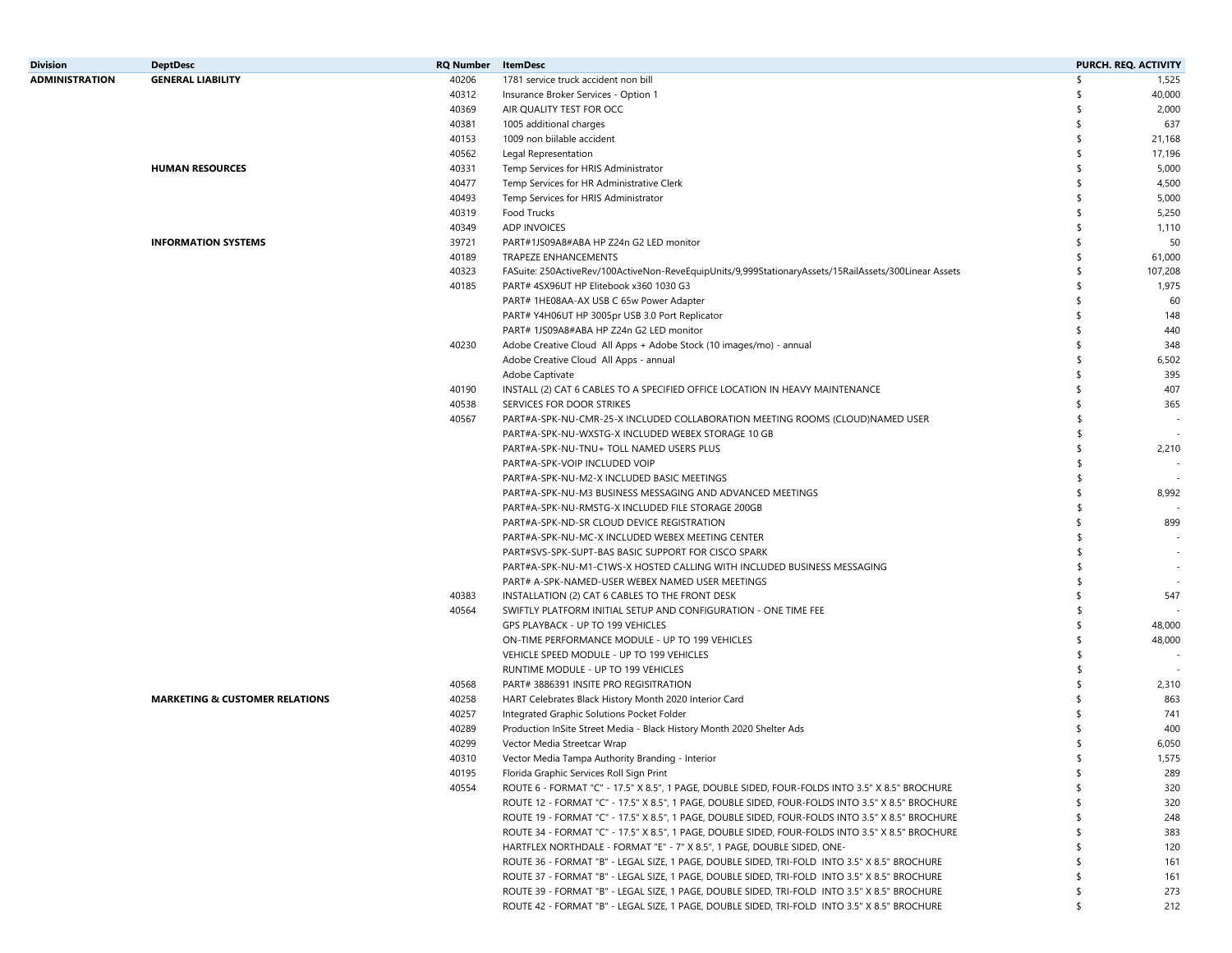| <b>Division</b>       | <b>DeptDesc</b>                           | <b>RQ Number</b> | <b>ItemDesc</b>                                                                                       |     | PURCH. REQ. ACTIVITY |
|-----------------------|-------------------------------------------|------------------|-------------------------------------------------------------------------------------------------------|-----|----------------------|
| <b>ADMINISTRATION</b> | <b>GENERAL LIABILITY</b>                  | 40206            | 1781 service truck accident non bill                                                                  |     | 1,525                |
|                       |                                           | 40312            | Insurance Broker Services - Option 1                                                                  |     | 40,000               |
|                       |                                           | 40369            | AIR QUALITY TEST FOR OCC                                                                              |     | 2,000                |
|                       |                                           | 40381            | 1005 additional charges                                                                               | \$  | 637                  |
|                       |                                           | 40153            | 1009 non biilable accident                                                                            |     | 21,168               |
|                       |                                           | 40562            | Legal Representation                                                                                  | -S  | 17,196               |
|                       | <b>HUMAN RESOURCES</b>                    | 40331            | Temp Services for HRIS Administrator                                                                  |     | 5,000                |
|                       |                                           | 40477            | Temp Services for HR Administrative Clerk                                                             |     | 4,500                |
|                       |                                           | 40493            | Temp Services for HRIS Administrator                                                                  | -S  | 5,000                |
|                       |                                           | 40319            | Food Trucks                                                                                           |     | 5,250                |
|                       |                                           | 40349            | <b>ADP INVOICES</b>                                                                                   |     | 1,110                |
|                       | <b>INFORMATION SYSTEMS</b>                | 39721            | PART#1JS09A8#ABA HP Z24n G2 LED monitor                                                               | -S  | 50                   |
|                       |                                           | 40189            | <b>TRAPEZE ENHANCEMENTS</b>                                                                           |     | 61,000               |
|                       |                                           | 40323            | FASuite: 250ActiveRev/100ActiveNon-ReveEquipUnits/9,999StationaryAssets/15RailAssets/300Linear Assets |     | 107,208              |
|                       |                                           | 40185            | PART# 4SX96UT HP Elitebook x360 1030 G3                                                               |     | 1,975                |
|                       |                                           |                  | PART# 1HE08AA-AX USB C 65w Power Adapter                                                              | ⊀   | 60                   |
|                       |                                           |                  | PART# Y4H06UT HP 3005pr USB 3.0 Port Replicator                                                       |     | 148                  |
|                       |                                           |                  | PART# 1JS09A8#ABA HP Z24n G2 LED monitor                                                              | -\$ | 440                  |
|                       |                                           | 40230            | Adobe Creative Cloud All Apps + Adobe Stock (10 images/mo) - annual                                   | -\$ | 348                  |
|                       |                                           |                  | Adobe Creative Cloud All Apps - annual                                                                |     | 6,502                |
|                       |                                           |                  | Adobe Captivate                                                                                       |     | 395                  |
|                       |                                           | 40190            | INSTALL (2) CAT 6 CABLES TO A SPECIFIED OFFICE LOCATION IN HEAVY MAINTENANCE                          |     | 407                  |
|                       |                                           | 40538            | SERVICES FOR DOOR STRIKES                                                                             |     | 365                  |
|                       |                                           | 40567            | PART#A-SPK-NU-CMR-25-X INCLUDED COLLABORATION MEETING ROOMS (CLOUD)NAMED USER                         |     |                      |
|                       |                                           |                  |                                                                                                       |     |                      |
|                       |                                           |                  | PART#A-SPK-NU-WXSTG-X INCLUDED WEBEX STORAGE 10 GB                                                    |     |                      |
|                       |                                           |                  | PART#A-SPK-NU-TNU+ TOLL NAMED USERS PLUS                                                              |     | 2,210                |
|                       |                                           |                  | PART#A-SPK-VOIP INCLUDED VOIP                                                                         |     |                      |
|                       |                                           |                  | PART#A-SPK-NU-M2-X INCLUDED BASIC MEETINGS                                                            |     |                      |
|                       |                                           |                  | PART#A-SPK-NU-M3 BUSINESS MESSAGING AND ADVANCED MEETINGS                                             |     | 8,992                |
|                       |                                           |                  | PART#A-SPK-NU-RMSTG-X INCLUDED FILE STORAGE 200GB                                                     | \$  |                      |
|                       |                                           |                  | PART#A-SPK-ND-SR CLOUD DEVICE REGISTRATION                                                            |     | 899                  |
|                       |                                           |                  | PART#A-SPK-NU-MC-X INCLUDED WEBEX MEETING CENTER                                                      |     |                      |
|                       |                                           |                  | PART#SVS-SPK-SUPT-BAS BASIC SUPPORT FOR CISCO SPARK                                                   |     |                      |
|                       |                                           |                  | PART#A-SPK-NU-M1-C1WS-X HOSTED CALLING WITH INCLUDED BUSINESS MESSAGING                               |     |                      |
|                       |                                           |                  | PART# A-SPK-NAMED-USER WEBEX NAMED USER MEETINGS                                                      |     |                      |
|                       |                                           | 40383            | INSTALLATION (2) CAT 6 CABLES TO THE FRONT DESK                                                       |     | 547                  |
|                       |                                           | 40564            | SWIFTLY PLATFORM INITIAL SETUP AND CONFIGURATION - ONE TIME FEE                                       | -S  |                      |
|                       |                                           |                  | GPS PLAYBACK - UP TO 199 VEHICLES                                                                     |     | 48,000               |
|                       |                                           |                  | ON-TIME PERFORMANCE MODULE - UP TO 199 VEHICLES                                                       |     | 48,000               |
|                       |                                           |                  | VEHICLE SPEED MODULE - UP TO 199 VEHICLES                                                             |     |                      |
|                       |                                           |                  | RUNTIME MODULE - UP TO 199 VEHICLES                                                                   |     |                      |
|                       |                                           | 40568            | PART# 3886391 INSITE PRO REGISITRATION                                                                |     | 2,310                |
|                       | <b>MARKETING &amp; CUSTOMER RELATIONS</b> | 40258            | HART Celebrates Black History Month 2020 Interior Card                                                |     | 863                  |
|                       |                                           | 40257            | Integrated Graphic Solutions Pocket Folder                                                            |     | 741                  |
|                       |                                           | 40289            | Production InSite Street Media - Black History Month 2020 Shelter Ads                                 |     | 400                  |
|                       |                                           | 40299            | Vector Media Streetcar Wrap                                                                           |     | 6,050                |
|                       |                                           | 40310            | Vector Media Tampa Authority Branding - Interior                                                      |     | 1,575                |
|                       |                                           | 40195            | Florida Graphic Services Roll Sign Print                                                              |     | 289                  |
|                       |                                           | 40554            | ROUTE 6 - FORMAT "C" - 17.5" X 8.5", 1 PAGE, DOUBLE SIDED, FOUR-FOLDS INTO 3.5" X 8.5" BROCHURE       |     | 320                  |
|                       |                                           |                  | ROUTE 12 - FORMAT "C" - 17.5" X 8.5", 1 PAGE, DOUBLE SIDED, FOUR-FOLDS INTO 3.5" X 8.5" BROCHURE      | -\$ | 320                  |
|                       |                                           |                  | ROUTE 19 - FORMAT "C" - 17.5" X 8.5", 1 PAGE, DOUBLE SIDED, FOUR-FOLDS INTO 3.5" X 8.5" BROCHURE      |     | 248                  |
|                       |                                           |                  | ROUTE 34 - FORMAT "C" - 17.5" X 8.5", 1 PAGE, DOUBLE SIDED, FOUR-FOLDS INTO 3.5" X 8.5" BROCHURE      |     | 383                  |
|                       |                                           |                  | HARTFLEX NORTHDALE - FORMAT "E" - 7" X 8.5", 1 PAGE, DOUBLE SIDED, ONE-                               |     | 120                  |
|                       |                                           |                  | ROUTE 36 - FORMAT "B" - LEGAL SIZE, 1 PAGE, DOUBLE SIDED, TRI-FOLD INTO 3.5" X 8.5" BROCHURE          |     | 161                  |
|                       |                                           |                  | ROUTE 37 - FORMAT "B" - LEGAL SIZE, 1 PAGE, DOUBLE SIDED, TRI-FOLD INTO 3.5" X 8.5" BROCHURE          | -S  | 161                  |
|                       |                                           |                  | ROUTE 39 - FORMAT "B" - LEGAL SIZE, 1 PAGE, DOUBLE SIDED, TRI-FOLD INTO 3.5" X 8.5" BROCHURE          | \$  | 273                  |
|                       |                                           |                  | ROUTE 42 - FORMAT "B" - LEGAL SIZE, 1 PAGE, DOUBLE SIDED, TRI-FOLD INTO 3.5" X 8.5" BROCHURE          | \$  | 212                  |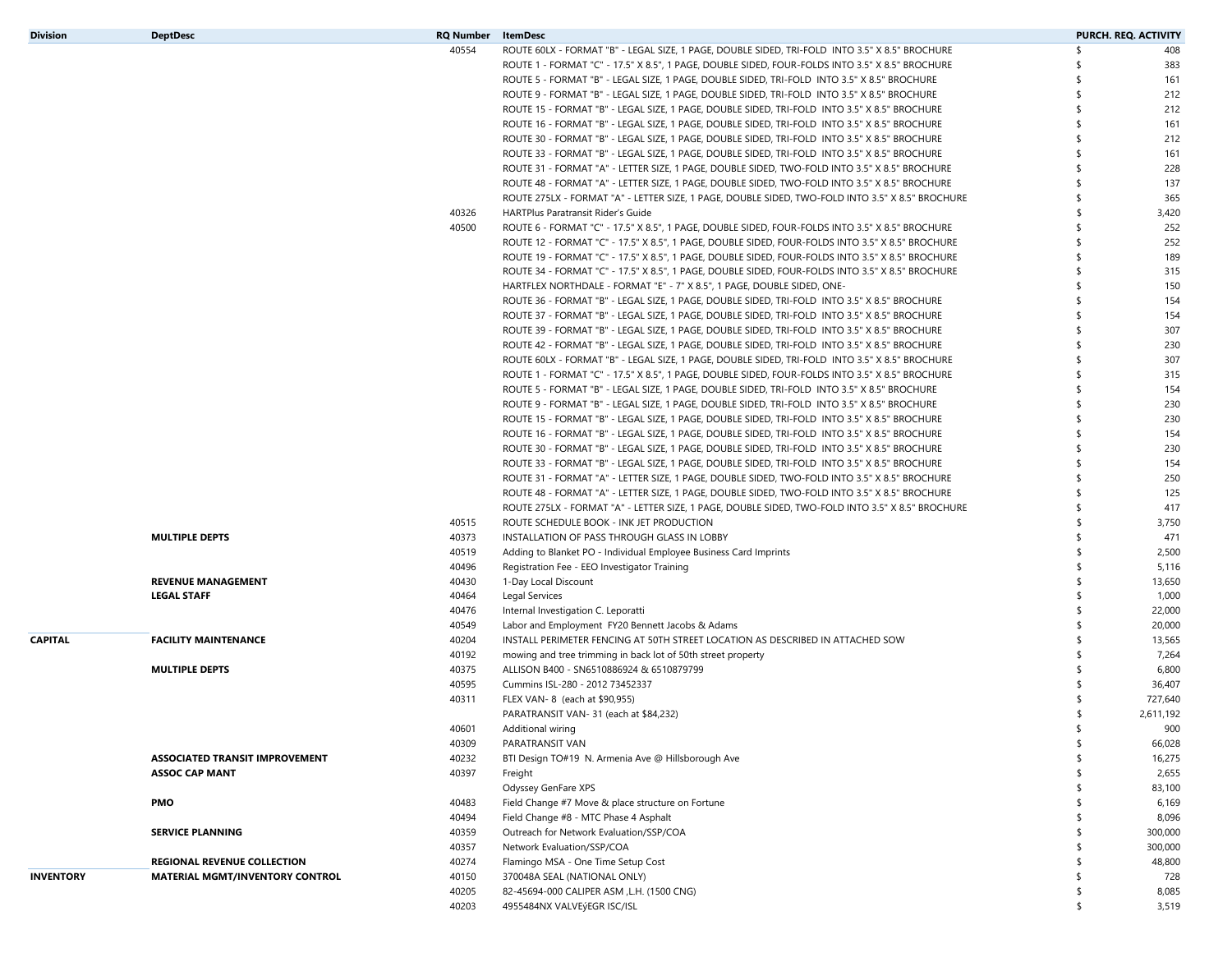| <b>Division</b>  | <b>DeptDesc</b>                        | <b>RQ Number</b> | ItemDesc                                                                                         |                    | <b>PURCH. REQ. ACTIVITY</b> |
|------------------|----------------------------------------|------------------|--------------------------------------------------------------------------------------------------|--------------------|-----------------------------|
|                  |                                        | 40554            | ROUTE 60LX - FORMAT "B" - LEGAL SIZE, 1 PAGE, DOUBLE SIDED, TRI-FOLD INTO 3.5" X 8.5" BROCHURE   | \$                 | 408                         |
|                  |                                        |                  | ROUTE 1 - FORMAT "C" - 17.5" X 8.5", 1 PAGE, DOUBLE SIDED, FOUR-FOLDS INTO 3.5" X 8.5" BROCHURE  | \$                 | 383                         |
|                  |                                        |                  | ROUTE 5 - FORMAT "B" - LEGAL SIZE, 1 PAGE, DOUBLE SIDED, TRI-FOLD INTO 3.5" X 8.5" BROCHURE      | \$                 | 161                         |
|                  |                                        |                  | ROUTE 9 - FORMAT "B" - LEGAL SIZE, 1 PAGE, DOUBLE SIDED, TRI-FOLD INTO 3.5" X 8.5" BROCHURE      | \$                 | 212                         |
|                  |                                        |                  | ROUTE 15 - FORMAT "B" - LEGAL SIZE, 1 PAGE, DOUBLE SIDED, TRI-FOLD INTO 3.5" X 8.5" BROCHURE     | $\mathbf{\hat{S}}$ | 212                         |
|                  |                                        |                  | ROUTE 16 - FORMAT "B" - LEGAL SIZE, 1 PAGE, DOUBLE SIDED, TRI-FOLD INTO 3.5" X 8.5" BROCHURE     | \$                 | 161                         |
|                  |                                        |                  | ROUTE 30 - FORMAT "B" - LEGAL SIZE, 1 PAGE, DOUBLE SIDED, TRI-FOLD INTO 3.5" X 8.5" BROCHURE     | \$                 | 212                         |
|                  |                                        |                  | ROUTE 33 - FORMAT "B" - LEGAL SIZE, 1 PAGE, DOUBLE SIDED, TRI-FOLD INTO 3.5" X 8.5" BROCHURE     | \$                 | 161                         |
|                  |                                        |                  | ROUTE 31 - FORMAT "A" - LETTER SIZE, 1 PAGE, DOUBLE SIDED, TWO-FOLD INTO 3.5" X 8.5" BROCHURE    | \$                 | 228                         |
|                  |                                        |                  | ROUTE 48 - FORMAT "A" - LETTER SIZE, 1 PAGE, DOUBLE SIDED, TWO-FOLD INTO 3.5" X 8.5" BROCHURE    | \$                 | 137                         |
|                  |                                        |                  | ROUTE 275LX - FORMAT "A" - LETTER SIZE, 1 PAGE, DOUBLE SIDED, TWO-FOLD INTO 3.5" X 8.5" BROCHURE | \$                 | 365                         |
|                  |                                        | 40326            | HARTPlus Paratransit Rider's Guide                                                               | \$                 | 3,420                       |
|                  |                                        | 40500            | ROUTE 6 - FORMAT "C" - 17.5" X 8.5", 1 PAGE, DOUBLE SIDED, FOUR-FOLDS INTO 3.5" X 8.5" BROCHURE  | \$                 | 252                         |
|                  |                                        |                  | ROUTE 12 - FORMAT "C" - 17.5" X 8.5", 1 PAGE, DOUBLE SIDED, FOUR-FOLDS INTO 3.5" X 8.5" BROCHURE | \$                 | 252                         |
|                  |                                        |                  | ROUTE 19 - FORMAT "C" - 17.5" X 8.5", 1 PAGE, DOUBLE SIDED, FOUR-FOLDS INTO 3.5" X 8.5" BROCHURE | \$                 | 189                         |
|                  |                                        |                  | ROUTE 34 - FORMAT "C" - 17.5" X 8.5", 1 PAGE, DOUBLE SIDED, FOUR-FOLDS INTO 3.5" X 8.5" BROCHURE | \$                 | 315                         |
|                  |                                        |                  | HARTFLEX NORTHDALE - FORMAT "E" - 7" X 8.5", 1 PAGE, DOUBLE SIDED, ONE-                          | \$                 | 150                         |
|                  |                                        |                  | ROUTE 36 - FORMAT "B" - LEGAL SIZE, 1 PAGE, DOUBLE SIDED, TRI-FOLD INTO 3.5" X 8.5" BROCHURE     | \$                 | 154                         |
|                  |                                        |                  | ROUTE 37 - FORMAT "B" - LEGAL SIZE, 1 PAGE, DOUBLE SIDED, TRI-FOLD INTO 3.5" X 8.5" BROCHURE     | \$                 | 154                         |
|                  |                                        |                  | ROUTE 39 - FORMAT "B" - LEGAL SIZE, 1 PAGE, DOUBLE SIDED, TRI-FOLD INTO 3.5" X 8.5" BROCHURE     | \$                 | 307                         |
|                  |                                        |                  | ROUTE 42 - FORMAT "B" - LEGAL SIZE, 1 PAGE, DOUBLE SIDED, TRI-FOLD INTO 3.5" X 8.5" BROCHURE     | \$                 | 230                         |
|                  |                                        |                  | ROUTE 60LX - FORMAT "B" - LEGAL SIZE, 1 PAGE, DOUBLE SIDED, TRI-FOLD INTO 3.5" X 8.5" BROCHURE   | \$                 | 307                         |
|                  |                                        |                  | ROUTE 1 - FORMAT "C" - 17.5" X 8.5", 1 PAGE, DOUBLE SIDED, FOUR-FOLDS INTO 3.5" X 8.5" BROCHURE  | \$                 | 315                         |
|                  |                                        |                  | ROUTE 5 - FORMAT "B" - LEGAL SIZE, 1 PAGE, DOUBLE SIDED, TRI-FOLD INTO 3.5" X 8.5" BROCHURE      | \$                 | 154                         |
|                  |                                        |                  | ROUTE 9 - FORMAT "B" - LEGAL SIZE, 1 PAGE, DOUBLE SIDED, TRI-FOLD INTO 3.5" X 8.5" BROCHURE      | \$                 | 230                         |
|                  |                                        |                  | ROUTE 15 - FORMAT "B" - LEGAL SIZE, 1 PAGE, DOUBLE SIDED, TRI-FOLD INTO 3.5" X 8.5" BROCHURE     | \$                 | 230                         |
|                  |                                        |                  | ROUTE 16 - FORMAT "B" - LEGAL SIZE, 1 PAGE, DOUBLE SIDED, TRI-FOLD INTO 3.5" X 8.5" BROCHURE     | \$                 | 154                         |
|                  |                                        |                  | ROUTE 30 - FORMAT "B" - LEGAL SIZE, 1 PAGE, DOUBLE SIDED, TRI-FOLD INTO 3.5" X 8.5" BROCHURE     | \$                 | 230                         |
|                  |                                        |                  | ROUTE 33 - FORMAT "B" - LEGAL SIZE, 1 PAGE, DOUBLE SIDED, TRI-FOLD INTO 3.5" X 8.5" BROCHURE     | \$                 | 154                         |
|                  |                                        |                  | ROUTE 31 - FORMAT "A" - LETTER SIZE, 1 PAGE, DOUBLE SIDED, TWO-FOLD INTO 3.5" X 8.5" BROCHURE    | \$                 | 250                         |
|                  |                                        |                  | ROUTE 48 - FORMAT "A" - LETTER SIZE, 1 PAGE, DOUBLE SIDED, TWO-FOLD INTO 3.5" X 8.5" BROCHURE    | \$                 | 125                         |
|                  |                                        |                  | ROUTE 275LX - FORMAT "A" - LETTER SIZE, 1 PAGE, DOUBLE SIDED, TWO-FOLD INTO 3.5" X 8.5" BROCHURE | \$                 | 417                         |
|                  |                                        | 40515            | ROUTE SCHEDULE BOOK - INK JET PRODUCTION                                                         | \$                 | 3,750                       |
|                  | <b>MULTIPLE DEPTS</b>                  | 40373            | INSTALLATION OF PASS THROUGH GLASS IN LOBBY                                                      | \$                 | 471                         |
|                  |                                        | 40519            | Adding to Blanket PO - Individual Employee Business Card Imprints                                | \$                 | 2,500                       |
|                  |                                        | 40496            | Registration Fee - EEO Investigator Training                                                     | \$                 | 5,116                       |
|                  | <b>REVENUE MANAGEMENT</b>              | 40430            | 1-Day Local Discount                                                                             | \$                 | 13,650                      |
|                  | <b>LEGAL STAFF</b>                     | 40464            | Legal Services                                                                                   | \$                 | 1,000                       |
|                  |                                        | 40476            | Internal Investigation C. Leporatti                                                              | \$                 | 22,000                      |
|                  |                                        | 40549            | Labor and Employment FY20 Bennett Jacobs & Adams                                                 | \$                 | 20,000                      |
| <b>CAPITAL</b>   | <b>FACILITY MAINTENANCE</b>            | 40204            | INSTALL PERIMETER FENCING AT 50TH STREET LOCATION AS DESCRIBED IN ATTACHED SOW                   | \$                 | 13,565                      |
|                  |                                        | 40192            | mowing and tree trimming in back lot of 50th street property                                     | \$                 | 7,264                       |
|                  | <b>MULTIPLE DEPTS</b>                  | 40375            | ALLISON B400 - SN6510886924 & 6510879799                                                         | \$                 | 6,800                       |
|                  |                                        | 40595            | Cummins ISL-280 - 2012 73452337                                                                  | \$                 | 36,407                      |
|                  |                                        | 40311            | FLEX VAN-8 (each at \$90,955)                                                                    |                    | 727,640                     |
|                  |                                        |                  | PARATRANSIT VAN-31 (each at \$84,232)                                                            | \$                 | 2,611,192                   |
|                  |                                        | 40601            | Additional wiring                                                                                |                    | 900                         |
|                  |                                        | 40309            | PARATRANSIT VAN                                                                                  | \$                 | 66,028                      |
|                  | <b>ASSOCIATED TRANSIT IMPROVEMENT</b>  | 40232            | BTI Design TO#19 N. Armenia Ave @ Hillsborough Ave                                               | \$                 | 16,275                      |
|                  | <b>ASSOC CAP MANT</b>                  | 40397            | Freight                                                                                          | \$                 | 2,655                       |
|                  |                                        |                  | Odyssey GenFare XPS                                                                              | \$                 | 83,100                      |
|                  | PMO                                    | 40483            | Field Change #7 Move & place structure on Fortune                                                | \$                 | 6,169                       |
|                  |                                        | 40494            | Field Change #8 - MTC Phase 4 Asphalt                                                            | \$                 | 8,096                       |
|                  | <b>SERVICE PLANNING</b>                | 40359            | Outreach for Network Evaluation/SSP/COA                                                          | \$                 | 300,000                     |
|                  |                                        | 40357            | Network Evaluation/SSP/COA                                                                       | \$                 | 300,000                     |
|                  | <b>REGIONAL REVENUE COLLECTION</b>     | 40274            | Flamingo MSA - One Time Setup Cost                                                               | \$                 | 48,800                      |
| <b>INVENTORY</b> | <b>MATERIAL MGMT/INVENTORY CONTROL</b> | 40150            | 370048A SEAL (NATIONAL ONLY)                                                                     | \$                 | 728                         |
|                  |                                        | 40205            | 82-45694-000 CALIPER ASM , L.H. (1500 CNG)                                                       | \$                 | 8,085                       |
|                  |                                        | 40203            | 4955484NX VALVEýEGR ISC/ISL                                                                      | \$                 | 3,519                       |
|                  |                                        |                  |                                                                                                  |                    |                             |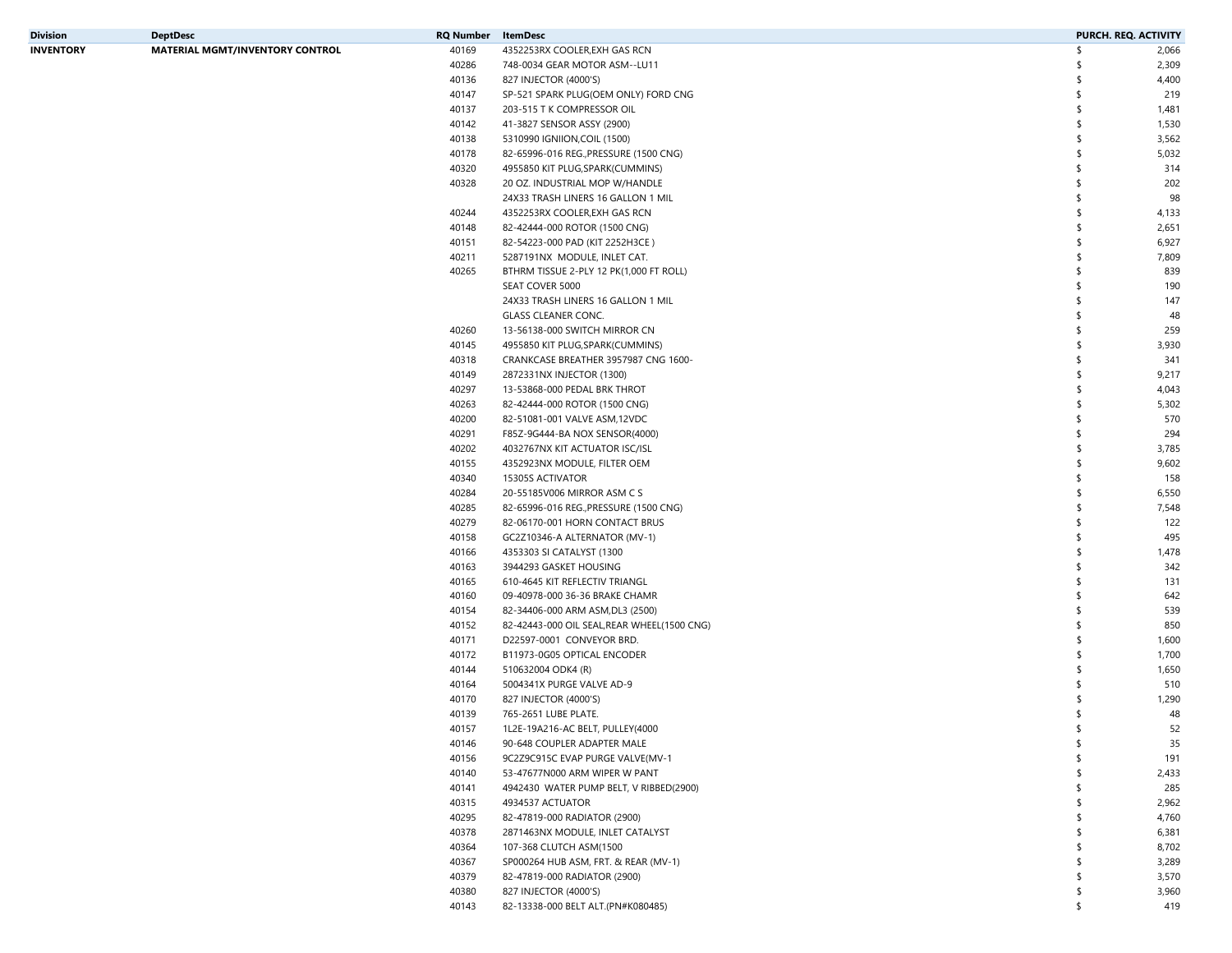| Division  | <b>DeptDesc</b>                        | RQ Number | ItemDesc                                                        | <b>PURCH. REQ. ACTIVITY</b> |       |
|-----------|----------------------------------------|-----------|-----------------------------------------------------------------|-----------------------------|-------|
| INVENTORY | <b>MATERIAL MGMT/INVENTORY CONTROL</b> | 40169     | 4352253RX COOLER, EXH GAS RCN                                   | \$                          | 2,066 |
|           |                                        | 40286     | 748-0034 GEAR MOTOR ASM--LU11                                   | -S                          | 2,309 |
|           |                                        | 40136     | 827 INJECTOR (4000'S)                                           | \$                          | 4,400 |
|           |                                        | 40147     | SP-521 SPARK PLUG(OEM ONLY) FORD CNG                            | \$                          | 219   |
|           |                                        | 40137     | 203-515 T K COMPRESSOR OIL                                      | \$                          | 1,481 |
|           |                                        | 40142     | 41-3827 SENSOR ASSY (2900)                                      | \$                          | 1,530 |
|           |                                        | 40138     | 5310990 IGNIION, COIL (1500)                                    | \$                          | 3,562 |
|           |                                        | 40178     | 82-65996-016 REG., PRESSURE (1500 CNG)                          | \$                          | 5,032 |
|           |                                        | 40320     | 4955850 KIT PLUG, SPARK (CUMMINS)                               | \$                          | 314   |
|           |                                        | 40328     | 20 OZ. INDUSTRIAL MOP W/HANDLE                                  | \$                          | 202   |
|           |                                        |           | 24X33 TRASH LINERS 16 GALLON 1 MIL                              | \$                          | 98    |
|           |                                        | 40244     | 4352253RX COOLER, EXH GAS RCN                                   | \$                          | 4,133 |
|           |                                        | 40148     | 82-42444-000 ROTOR (1500 CNG)                                   | \$                          | 2,651 |
|           |                                        |           |                                                                 | \$                          | 6,927 |
|           |                                        | 40151     | 82-54223-000 PAD (KIT 2252H3CE)<br>5287191NX MODULE, INLET CAT. |                             |       |
|           |                                        | 40211     |                                                                 | \$                          | 7,809 |
|           |                                        | 40265     | BTHRM TISSUE 2-PLY 12 PK(1,000 FT ROLL)                         | \$                          | 839   |
|           |                                        |           | SEAT COVER 5000                                                 | \$                          | 190   |
|           |                                        |           | 24X33 TRASH LINERS 16 GALLON 1 MIL                              | \$                          | 147   |
|           |                                        |           | <b>GLASS CLEANER CONC.</b>                                      | \$                          | 48    |
|           |                                        | 40260     | 13-56138-000 SWITCH MIRROR CN                                   | \$                          | 259   |
|           |                                        | 40145     | 4955850 KIT PLUG, SPARK (CUMMINS)                               | \$                          | 3,930 |
|           |                                        | 40318     | CRANKCASE BREATHER 3957987 CNG 1600-                            | \$                          | 341   |
|           |                                        | 40149     | 2872331NX INJECTOR (1300)                                       | \$                          | 9,217 |
|           |                                        | 40297     | 13-53868-000 PEDAL BRK THROT                                    | \$                          | 4,043 |
|           |                                        | 40263     | 82-42444-000 ROTOR (1500 CNG)                                   | \$                          | 5,302 |
|           |                                        | 40200     | 82-51081-001 VALVE ASM,12VDC                                    | \$                          | 570   |
|           |                                        | 40291     | F85Z-9G444-BA NOX SENSOR(4000)                                  | \$                          | 294   |
|           |                                        | 40202     | 4032767NX KIT ACTUATOR ISC/ISL                                  | \$                          | 3,785 |
|           |                                        | 40155     | 4352923NX MODULE, FILTER OEM                                    | \$                          | 9,602 |
|           |                                        | 40340     | 15305S ACTIVATOR                                                | \$                          | 158   |
|           |                                        | 40284     | 20-55185V006 MIRROR ASM C S                                     | \$                          | 6,550 |
|           |                                        | 40285     | 82-65996-016 REG., PRESSURE (1500 CNG)                          | \$                          | 7,548 |
|           |                                        | 40279     | 82-06170-001 HORN CONTACT BRUS                                  | \$                          | 122   |
|           |                                        | 40158     | GC2Z10346-A ALTERNATOR (MV-1)                                   | \$                          | 495   |
|           |                                        | 40166     | 4353303 SI CATALYST (1300                                       | \$                          | 1,478 |
|           |                                        | 40163     | 3944293 GASKET HOUSING                                          | \$                          | 342   |
|           |                                        | 40165     | 610-4645 KIT REFLECTIV TRIANGL                                  | \$                          | 131   |
|           |                                        | 40160     | 09-40978-000 36-36 BRAKE CHAMR                                  | \$                          | 642   |
|           |                                        | 40154     | 82-34406-000 ARM ASM, DL3 (2500)                                | \$                          | 539   |
|           |                                        | 40152     | 82-42443-000 OIL SEAL, REAR WHEEL (1500 CNG)                    | \$                          | 850   |
|           |                                        | 40171     | D22597-0001 CONVEYOR BRD.                                       | \$                          | 1,600 |
|           |                                        | 40172     | B11973-0G05 OPTICAL ENCODER                                     | \$                          | 1,700 |
|           |                                        | 40144     | 510632004 ODK4 (R)                                              | \$                          | 1,650 |
|           |                                        |           |                                                                 | \$                          |       |
|           |                                        | 40164     | 5004341X PURGE VALVE AD-9                                       |                             | 510   |
|           |                                        | 40170     | 827 INJECTOR (4000'S)                                           |                             | 1,290 |
|           |                                        | 40139     | 765-2651 LUBE PLATE.<br>1L2E-19A216-AC BELT, PULLEY(4000        | \$                          | 48    |
|           |                                        | 40157     |                                                                 |                             | 52    |
|           |                                        | 40146     | 90-648 COUPLER ADAPTER MALE                                     | \$                          | 35    |
|           |                                        | 40156     | 9C2Z9C915C EVAP PURGE VALVE(MV-1                                | \$                          | 191   |
|           |                                        | 40140     | 53-47677N000 ARM WIPER W PANT                                   |                             | 2,433 |
|           |                                        | 40141     | 4942430 WATER PUMP BELT, V RIBBED(2900)                         |                             | 285   |
|           |                                        | 40315     | 4934537 ACTUATOR                                                |                             | 2,962 |
|           |                                        | 40295     | 82-47819-000 RADIATOR (2900)                                    |                             | 4,760 |
|           |                                        | 40378     | 2871463NX MODULE, INLET CATALYST                                |                             | 6,381 |
|           |                                        | 40364     | 107-368 CLUTCH ASM(1500                                         |                             | 8,702 |
|           |                                        | 40367     | SP000264 HUB ASM, FRT. & REAR (MV-1)                            |                             | 3,289 |
|           |                                        | 40379     | 82-47819-000 RADIATOR (2900)                                    |                             | 3,570 |
|           |                                        | 40380     | 827 INJECTOR (4000'S)                                           | \$                          | 3,960 |
|           |                                        | 40143     | 82-13338-000 BELT ALT.(PN#K080485)                              | \$                          | 419   |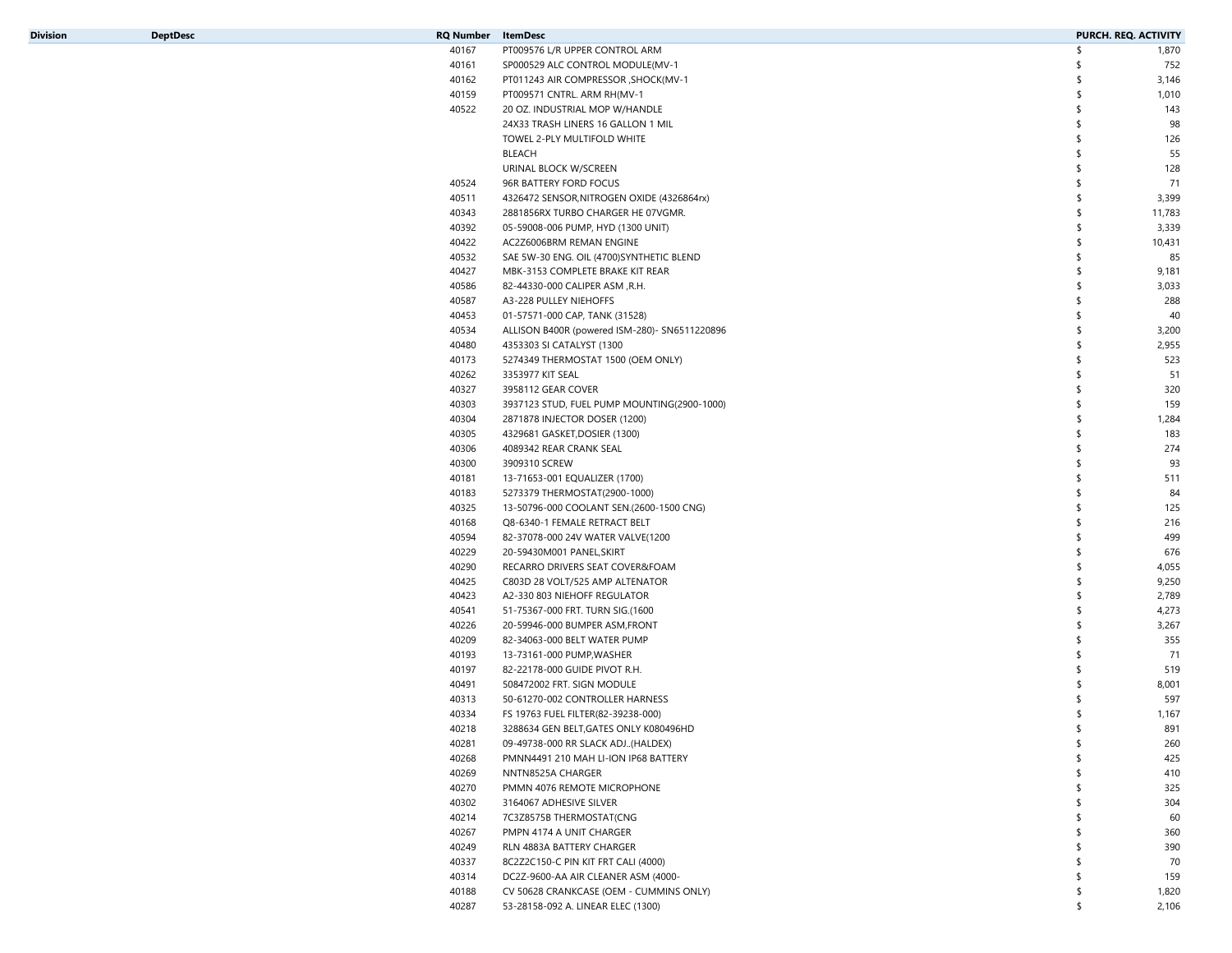| DeptDesc |  |  |  |
|----------|--|--|--|
|          |  |  |  |
|          |  |  |  |

| Division | <b>DeptDesc</b> | RQ Number | ItemDesc                                      |    | PURCH. REQ. ACTIVITY |
|----------|-----------------|-----------|-----------------------------------------------|----|----------------------|
|          |                 | 40167     | PT009576 L/R UPPER CONTROL ARM                | \$ | 1,870                |
|          |                 | 40161     | SP000529 ALC CONTROL MODULE(MV-1              | S  | 752                  |
|          |                 | 40162     | PT011243 AIR COMPRESSOR , SHOCK (MV-1         | \$ | 3,146                |
|          |                 | 40159     | PT009571 CNTRL. ARM RH(MV-1                   | \$ | 1,010                |
|          |                 | 40522     | 20 OZ. INDUSTRIAL MOP W/HANDLE                | \$ | 143                  |
|          |                 |           | 24X33 TRASH LINERS 16 GALLON 1 MIL            | \$ | 98                   |
|          |                 |           | TOWEL 2-PLY MULTIFOLD WHITE                   | \$ | 126                  |
|          |                 |           | BLEACH                                        | \$ | 55                   |
|          |                 |           | URINAL BLOCK W/SCREEN                         | \$ | 128                  |
|          |                 | 40524     | 96R BATTERY FORD FOCUS                        | \$ | 71                   |
|          |                 | 40511     | 4326472 SENSOR, NITROGEN OXIDE (4326864rx)    | \$ | 3,399                |
|          |                 | 40343     | 2881856RX TURBO CHARGER HE 07VGMR.            | \$ | 11,783               |
|          |                 | 40392     | 05-59008-006 PUMP, HYD (1300 UNIT)            | \$ | 3,339                |
|          |                 | 40422     | AC2Z6006BRM REMAN ENGINE                      | \$ | 10,431               |
|          |                 | 40532     |                                               | \$ | 85                   |
|          |                 |           | SAE 5W-30 ENG. OIL (4700)SYNTHETIC BLEND      |    |                      |
|          |                 | 40427     | MBK-3153 COMPLETE BRAKE KIT REAR              | \$ | 9,181                |
|          |                 | 40586     | 82-44330-000 CALIPER ASM, R.H.                | \$ | 3,033                |
|          |                 | 40587     | A3-228 PULLEY NIEHOFFS                        | \$ | 288                  |
|          |                 | 40453     | 01-57571-000 CAP, TANK (31528)                |    | 40                   |
|          |                 | 40534     | ALLISON B400R (powered ISM-280)- SN6511220896 | \$ | 3,200                |
|          |                 | 40480     | 4353303 SI CATALYST (1300                     | \$ | 2,955                |
|          |                 | 40173     | 5274349 THERMOSTAT 1500 (OEM ONLY)            | \$ | 523                  |
|          |                 | 40262     | 3353977 KIT SEAL                              | \$ | 51                   |
|          |                 | 40327     | 3958112 GEAR COVER                            | \$ | 320                  |
|          |                 | 40303     | 3937123 STUD, FUEL PUMP MOUNTING(2900-1000)   | \$ | 159                  |
|          |                 | 40304     | 2871878 INJECTOR DOSER (1200)                 | \$ | 1,284                |
|          |                 | 40305     | 4329681 GASKET, DOSIER (1300)                 | \$ | 183                  |
|          |                 | 40306     | 4089342 REAR CRANK SEAL                       | \$ | 274                  |
|          |                 | 40300     | 3909310 SCREW                                 | \$ | 93                   |
|          |                 | 40181     | 13-71653-001 EQUALIZER (1700)                 |    | 511                  |
|          |                 | 40183     | 5273379 THERMOSTAT(2900-1000)                 |    | 84                   |
|          |                 | 40325     | 13-50796-000 COOLANT SEN.(2600-1500 CNG)      |    | 125                  |
|          |                 | 40168     | Q8-6340-1 FEMALE RETRACT BELT                 | \$ | 216                  |
|          |                 | 40594     | 82-37078-000 24V WATER VALVE(1200             | \$ | 499                  |
|          |                 | 40229     | 20-59430M001 PANEL, SKIRT                     | \$ | 676                  |
|          |                 | 40290     | RECARRO DRIVERS SEAT COVER&FOAM               | \$ | 4,055                |
|          |                 | 40425     | C803D 28 VOLT/525 AMP ALTENATOR               | \$ | 9,250                |
|          |                 | 40423     | A2-330 803 NIEHOFF REGULATOR                  | \$ | 2,789                |
|          |                 | 40541     | 51-75367-000 FRT. TURN SIG.(1600              | \$ | 4,273                |
|          |                 | 40226     | 20-59946-000 BUMPER ASM, FRONT                | \$ | 3,267                |
|          |                 | 40209     | 82-34063-000 BELT WATER PUMP                  | \$ | 355                  |
|          |                 | 40193     | 13-73161-000 PUMP, WASHER                     | \$ | 71                   |
|          |                 | 40197     | 82-22178-000 GUIDE PIVOT R.H.                 | \$ | 519                  |
|          |                 | 40491     |                                               |    |                      |
|          |                 |           | 508472002 FRT. SIGN MODULE                    |    | 8,001                |
|          |                 | 40313     | 50-61270-002 CONTROLLER HARNESS               |    | 597                  |
|          |                 | 40334     | FS 19763 FUEL FILTER(82-39238-000)            | \$ | 1,167                |
|          |                 | 40218     | 3288634 GEN BELT, GATES ONLY K080496HD        |    | 891                  |
|          |                 | 40281     | 09-49738-000 RR SLACK ADJ(HALDEX)             | \$ | 260                  |
|          |                 | 40268     | PMNN4491 210 MAH LI-ION IP68 BATTERY          |    | 425                  |
|          |                 | 40269     | NNTN8525A CHARGER                             |    | 410                  |
|          |                 | 40270     | PMMN 4076 REMOTE MICROPHONE                   |    | 325                  |
|          |                 | 40302     | 3164067 ADHESIVE SILVER                       |    | 304                  |
|          |                 | 40214     | 7C3Z8575B THERMOSTAT(CNG                      |    | 60                   |
|          |                 | 40267     | PMPN 4174 A UNIT CHARGER                      |    | 360                  |
|          |                 | 40249     | RLN 4883A BATTERY CHARGER                     |    | 390                  |
|          |                 | 40337     | 8C2Z2C150-C PIN KIT FRT CALI (4000)           |    | 70                   |
|          |                 | 40314     | DC2Z-9600-AA AIR CLEANER ASM (4000-           |    | 159                  |
|          |                 | 40188     | CV 50628 CRANKCASE (OEM - CUMMINS ONLY)       | \$ | 1,820                |
|          |                 | 40287     | 53-28158-092 A. LINEAR ELEC (1300)            | \$ | 2,106                |
|          |                 |           |                                               |    |                      |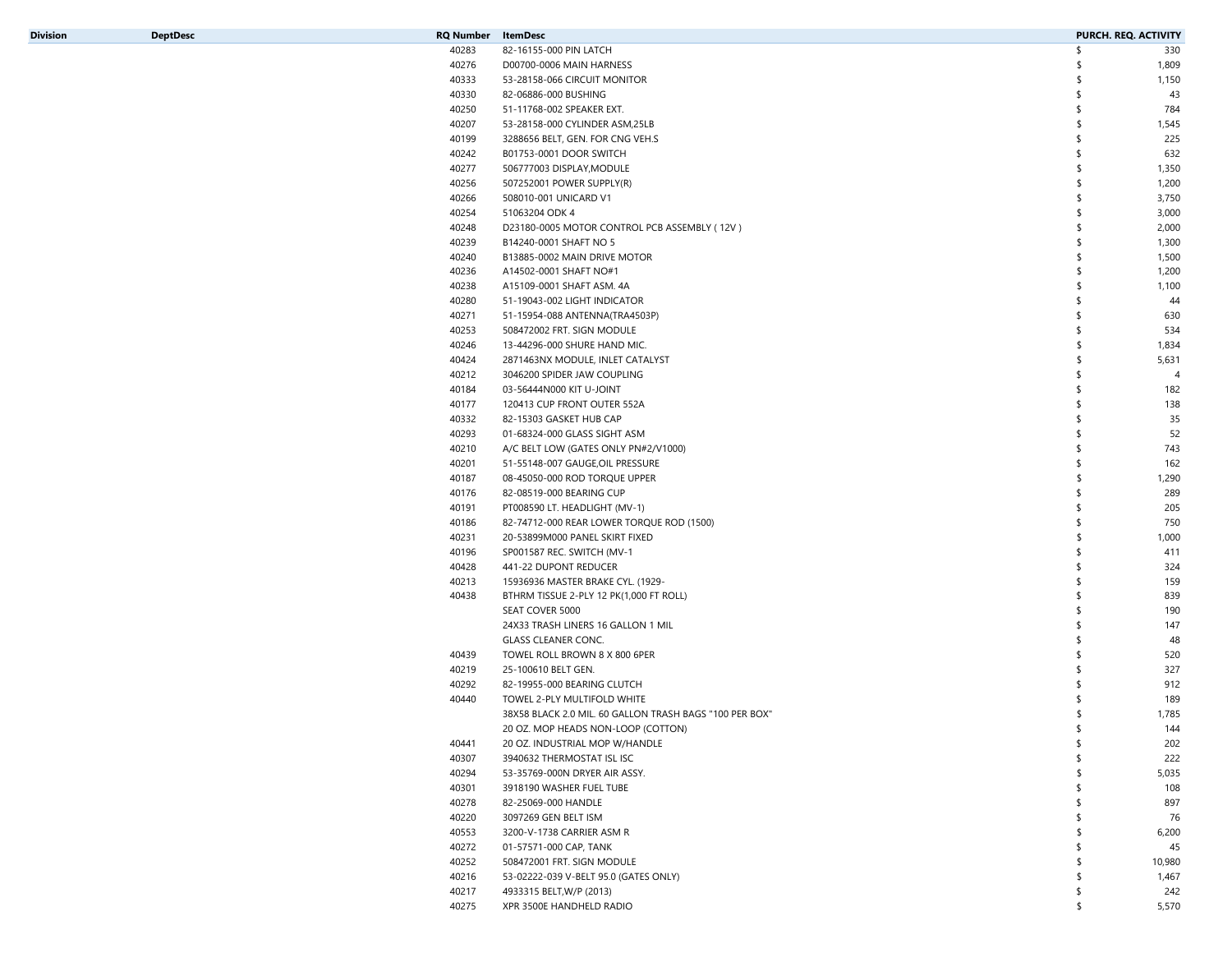| <b>Division</b> |  |
|-----------------|--|
|                 |  |

| Division | <b>DeptDesc</b> | <b>RQ Number</b> ItemDesc |                                                         | PURCH. REQ. ACTIVITY |                |
|----------|-----------------|---------------------------|---------------------------------------------------------|----------------------|----------------|
|          |                 | 40283                     | 82-16155-000 PIN LATCH                                  | \$                   | 330            |
|          |                 | 40276                     | D00700-0006 MAIN HARNESS                                | \$                   | 1,809          |
|          |                 | 40333                     | 53-28158-066 CIRCUIT MONITOR                            |                      | 1,150          |
|          |                 | 40330                     | 82-06886-000 BUSHING                                    | \$                   | 43             |
|          |                 | 40250                     | 51-11768-002 SPEAKER EXT.                               |                      | 784            |
|          |                 | 40207                     | 53-28158-000 CYLINDER ASM, 25LB                         | S                    | 1,545          |
|          |                 | 40199                     | 3288656 BELT, GEN. FOR CNG VEH.S                        | \$                   | 225            |
|          |                 | 40242                     | B01753-0001 DOOR SWITCH                                 | \$                   | 632            |
|          |                 | 40277                     | 506777003 DISPLAY, MODULE                               | \$                   | 1,350          |
|          |                 | 40256                     | 507252001 POWER SUPPLY(R)                               | \$                   | 1,200          |
|          |                 | 40266                     | 508010-001 UNICARD V1                                   | \$                   | 3,750          |
|          |                 | 40254                     | 51063204 ODK 4                                          |                      | 3,000          |
|          |                 | 40248                     | D23180-0005 MOTOR CONTROL PCB ASSEMBLY (12V)            | \$                   | 2,000          |
|          |                 | 40239                     | B14240-0001 SHAFT NO 5                                  | \$                   | 1,300          |
|          |                 | 40240                     | B13885-0002 MAIN DRIVE MOTOR                            | \$                   | 1,500          |
|          |                 |                           |                                                         | \$                   |                |
|          |                 | 40236                     | A14502-0001 SHAFT NO#1                                  |                      | 1,200          |
|          |                 | 40238                     | A15109-0001 SHAFT ASM. 4A                               | \$                   | 1,100          |
|          |                 | 40280                     | 51-19043-002 LIGHT INDICATOR                            |                      | 44             |
|          |                 | 40271                     | 51-15954-088 ANTENNA(TRA4503P)                          |                      | 630            |
|          |                 | 40253                     | 508472002 FRT. SIGN MODULE                              | \$                   | 534            |
|          |                 | 40246                     | 13-44296-000 SHURE HAND MIC.                            | \$                   | 1,834          |
|          |                 | 40424                     | 2871463NX MODULE, INLET CATALYST                        | \$                   | 5,631          |
|          |                 | 40212                     | 3046200 SPIDER JAW COUPLING                             |                      | $\overline{4}$ |
|          |                 | 40184                     | 03-56444N000 KIT U-JOINT                                |                      | 182            |
|          |                 | 40177                     | 120413 CUP FRONT OUTER 552A                             |                      | 138            |
|          |                 | 40332                     | 82-15303 GASKET HUB CAP                                 |                      | 35             |
|          |                 | 40293                     | 01-68324-000 GLASS SIGHT ASM                            | \$                   | 52             |
|          |                 | 40210                     | A/C BELT LOW (GATES ONLY PN#2/V1000)                    |                      | 743            |
|          |                 | 40201                     | 51-55148-007 GAUGE, OIL PRESSURE                        | \$                   | 162            |
|          |                 | 40187                     | 08-45050-000 ROD TORQUE UPPER                           |                      | 1,290          |
|          |                 | 40176                     | 82-08519-000 BEARING CUP                                |                      | 289            |
|          |                 | 40191                     | PT008590 LT. HEADLIGHT (MV-1)                           | \$                   | 205            |
|          |                 | 40186                     | 82-74712-000 REAR LOWER TORQUE ROD (1500)               |                      | 750            |
|          |                 | 40231                     | 20-53899M000 PANEL SKIRT FIXED                          | \$                   | 1,000          |
|          |                 | 40196                     | SP001587 REC. SWITCH (MV-1                              |                      | 411            |
|          |                 | 40428                     | 441-22 DUPONT REDUCER                                   |                      | 324            |
|          |                 | 40213                     | 15936936 MASTER BRAKE CYL. (1929-                       |                      | 159            |
|          |                 | 40438                     | BTHRM TISSUE 2-PLY 12 PK(1,000 FT ROLL)                 |                      | 839            |
|          |                 |                           | SEAT COVER 5000                                         |                      | 190            |
|          |                 |                           | 24X33 TRASH LINERS 16 GALLON 1 MIL                      |                      | 147            |
|          |                 |                           | <b>GLASS CLEANER CONC.</b>                              |                      | 48             |
|          |                 | 40439                     | TOWEL ROLL BROWN 8 X 800 6PER                           |                      | 520            |
|          |                 | 40219                     | 25-100610 BELT GEN.                                     |                      | 327            |
|          |                 | 40292                     | 82-19955-000 BEARING CLUTCH                             |                      | 912            |
|          |                 | 40440                     | TOWEL 2-PLY MULTIFOLD WHITE                             |                      | 189            |
|          |                 |                           | 38X58 BLACK 2.0 MIL, 60 GALLON TRASH BAGS "100 PER BOX" | \$                   | 1,785          |
|          |                 |                           | 20 OZ. MOP HEADS NON-LOOP (COTTON)                      |                      |                |
|          |                 |                           |                                                         |                      | 144            |
|          |                 | 40441                     | 20 OZ. INDUSTRIAL MOP W/HANDLE                          | \$                   | 202            |
|          |                 | 40307                     | 3940632 THERMOSTAT ISL ISC                              |                      | 222            |
|          |                 | 40294                     | 53-35769-000N DRYER AIR ASSY.                           |                      | 5,035          |
|          |                 | 40301                     | 3918190 WASHER FUEL TUBE                                |                      | 108            |
|          |                 | 40278                     | 82-25069-000 HANDLE                                     |                      | 897            |
|          |                 | 40220                     | 3097269 GEN BELT ISM                                    |                      | 76             |
|          |                 | 40553                     | 3200-V-1738 CARRIER ASM R                               |                      | 6,200          |
|          |                 | 40272                     | 01-57571-000 CAP, TANK                                  |                      | 45             |
|          |                 | 40252                     | 508472001 FRT. SIGN MODULE                              |                      | 10,980         |
|          |                 | 40216                     | 53-02222-039 V-BELT 95.0 (GATES ONLY)                   |                      | 1,467          |
|          |                 | 40217                     | 4933315 BELT, W/P (2013)                                |                      | 242            |
|          |                 | 40275                     | XPR 3500E HANDHELD RADIO                                | \$                   | 5,570          |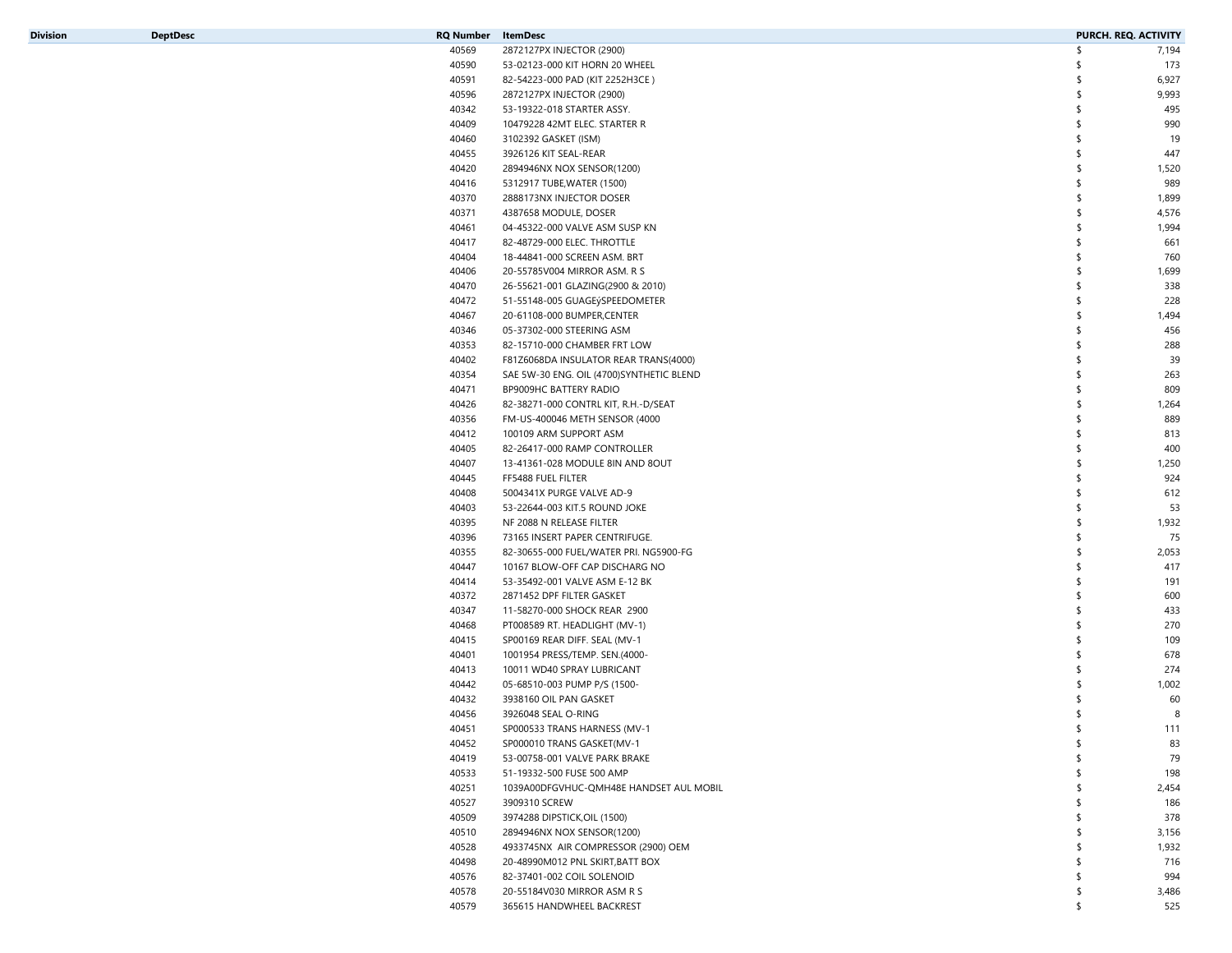| <b>Division</b> |  |  |
|-----------------|--|--|

| Division | <b>DeptDesc</b> | RQ Number ItemDesc |                                          | PURCH. REQ. ACTIVITY |       |
|----------|-----------------|--------------------|------------------------------------------|----------------------|-------|
|          |                 | 40569              | 2872127PX INJECTOR (2900)                | \$                   | 7,194 |
|          |                 | 40590              | 53-02123-000 KIT HORN 20 WHEEL           | \$                   | 173   |
|          |                 | 40591              | 82-54223-000 PAD (KIT 2252H3CE)          | \$                   | 6,927 |
|          |                 | 40596              | 2872127PX INJECTOR (2900)                | \$                   | 9,993 |
|          |                 | 40342              | 53-19322-018 STARTER ASSY.               | \$                   | 495   |
|          |                 | 40409              | 10479228 42MT ELEC. STARTER R            | \$                   | 990   |
|          |                 | 40460              | 3102392 GASKET (ISM)                     | \$                   | 19    |
|          |                 | 40455              | 3926126 KIT SEAL-REAR                    | \$                   | 447   |
|          |                 | 40420              | 2894946NX NOX SENSOR(1200)               | \$                   | 1,520 |
|          |                 |                    |                                          | \$                   |       |
|          |                 | 40416              | 5312917 TUBE, WATER (1500)               |                      | 989   |
|          |                 | 40370              | 2888173NX INJECTOR DOSER                 | \$                   | 1,899 |
|          |                 | 40371              | 4387658 MODULE, DOSER                    | \$                   | 4,576 |
|          |                 | 40461              | 04-45322-000 VALVE ASM SUSP KN           | \$                   | 1,994 |
|          |                 | 40417              | 82-48729-000 ELEC. THROTTLE              | \$                   | 661   |
|          |                 | 40404              | 18-44841-000 SCREEN ASM. BRT             | \$                   | 760   |
|          |                 | 40406              | 20-55785V004 MIRROR ASM. R S             | \$                   | 1,699 |
|          |                 | 40470              | 26-55621-001 GLAZING(2900 & 2010)        | \$                   | 338   |
|          |                 | 40472              | 51-55148-005 GUAGEýSPEEDOMETER           | \$                   | 228   |
|          |                 | 40467              | 20-61108-000 BUMPER, CENTER              | \$                   | 1,494 |
|          |                 | 40346              | 05-37302-000 STEERING ASM                | \$                   | 456   |
|          |                 | 40353              | 82-15710-000 CHAMBER FRT LOW             | \$                   | 288   |
|          |                 | 40402              | F81Z6068DA INSULATOR REAR TRANS(4000)    | \$                   | 39    |
|          |                 | 40354              | SAE 5W-30 ENG. OIL (4700)SYNTHETIC BLEND | \$                   | 263   |
|          |                 | 40471              | BP9009HC BATTERY RADIO                   | \$                   | 809   |
|          |                 | 40426              | 82-38271-000 CONTRL KIT, R.H.-D/SEAT     | \$                   | 1,264 |
|          |                 | 40356              | FM-US-400046 METH SENSOR (4000           | \$                   | 889   |
|          |                 | 40412              | 100109 ARM SUPPORT ASM                   | \$                   | 813   |
|          |                 |                    |                                          |                      |       |
|          |                 | 40405              | 82-26417-000 RAMP CONTROLLER             | \$                   | 400   |
|          |                 | 40407              | 13-41361-028 MODULE 8IN AND 8OUT         | \$                   | 1,250 |
|          |                 | 40445              | FF5488 FUEL FILTER                       | \$                   | 924   |
|          |                 | 40408              | 5004341X PURGE VALVE AD-9                | \$                   | 612   |
|          |                 | 40403              | 53-22644-003 KIT.5 ROUND JOKE            | \$                   | 53    |
|          |                 | 40395              | NF 2088 N RELEASE FILTER                 | \$                   | 1,932 |
|          |                 | 40396              | 73165 INSERT PAPER CENTRIFUGE.           | \$                   | 75    |
|          |                 | 40355              | 82-30655-000 FUEL/WATER PRI. NG5900-FG   | \$                   | 2,053 |
|          |                 | 40447              | 10167 BLOW-OFF CAP DISCHARG NO           | \$                   | 417   |
|          |                 | 40414              | 53-35492-001 VALVE ASM E-12 BK           | \$                   | 191   |
|          |                 | 40372              | 2871452 DPF FILTER GASKET                | \$                   | 600   |
|          |                 | 40347              | 11-58270-000 SHOCK REAR 2900             | \$                   | 433   |
|          |                 | 40468              | PT008589 RT. HEADLIGHT (MV-1)            | \$                   | 270   |
|          |                 | 40415              | SP00169 REAR DIFF. SEAL (MV-1            | \$                   | 109   |
|          |                 | 40401              | 1001954 PRESS/TEMP. SEN.(4000-           | \$                   | 678   |
|          |                 | 40413              | 10011 WD40 SPRAY LUBRICANT               | \$                   | 274   |
|          |                 | 40442              |                                          | S                    |       |
|          |                 |                    | 05-68510-003 PUMP P/S (1500-             |                      | 1,002 |
|          |                 | 40432              | 3938160 OIL PAN GASKET                   |                      | 60    |
|          |                 | 40456              | 3926048 SEAL O-RING                      | \$                   | 8     |
|          |                 | 40451              | SP000533 TRANS HARNESS (MV-1             |                      | 111   |
|          |                 | 40452              | SP000010 TRANS GASKET(MV-1               | \$                   | 83    |
|          |                 | 40419              | 53-00758-001 VALVE PARK BRAKE            |                      | 79    |
|          |                 | 40533              | 51-19332-500 FUSE 500 AMP                |                      | 198   |
|          |                 | 40251              | 1039A00DFGVHUC-QMH48E HANDSET AUL MOBIL  |                      | 2,454 |
|          |                 | 40527              | 3909310 SCREW                            |                      | 186   |
|          |                 | 40509              | 3974288 DIPSTICK, OIL (1500)             |                      | 378   |
|          |                 | 40510              | 2894946NX NOX SENSOR(1200)               |                      | 3,156 |
|          |                 | 40528              | 4933745NX AIR COMPRESSOR (2900) OEM      |                      | 1,932 |
|          |                 | 40498              | 20-48990M012 PNL SKIRT, BATT BOX         |                      | 716   |
|          |                 | 40576              | 82-37401-002 COIL SOLENOID               |                      | 994   |
|          |                 | 40578              | 20-55184V030 MIRROR ASM R S              | \$                   | 3,486 |
|          |                 | 40579              | 365615 HANDWHEEL BACKREST                | \$                   | 525   |
|          |                 |                    |                                          |                      |       |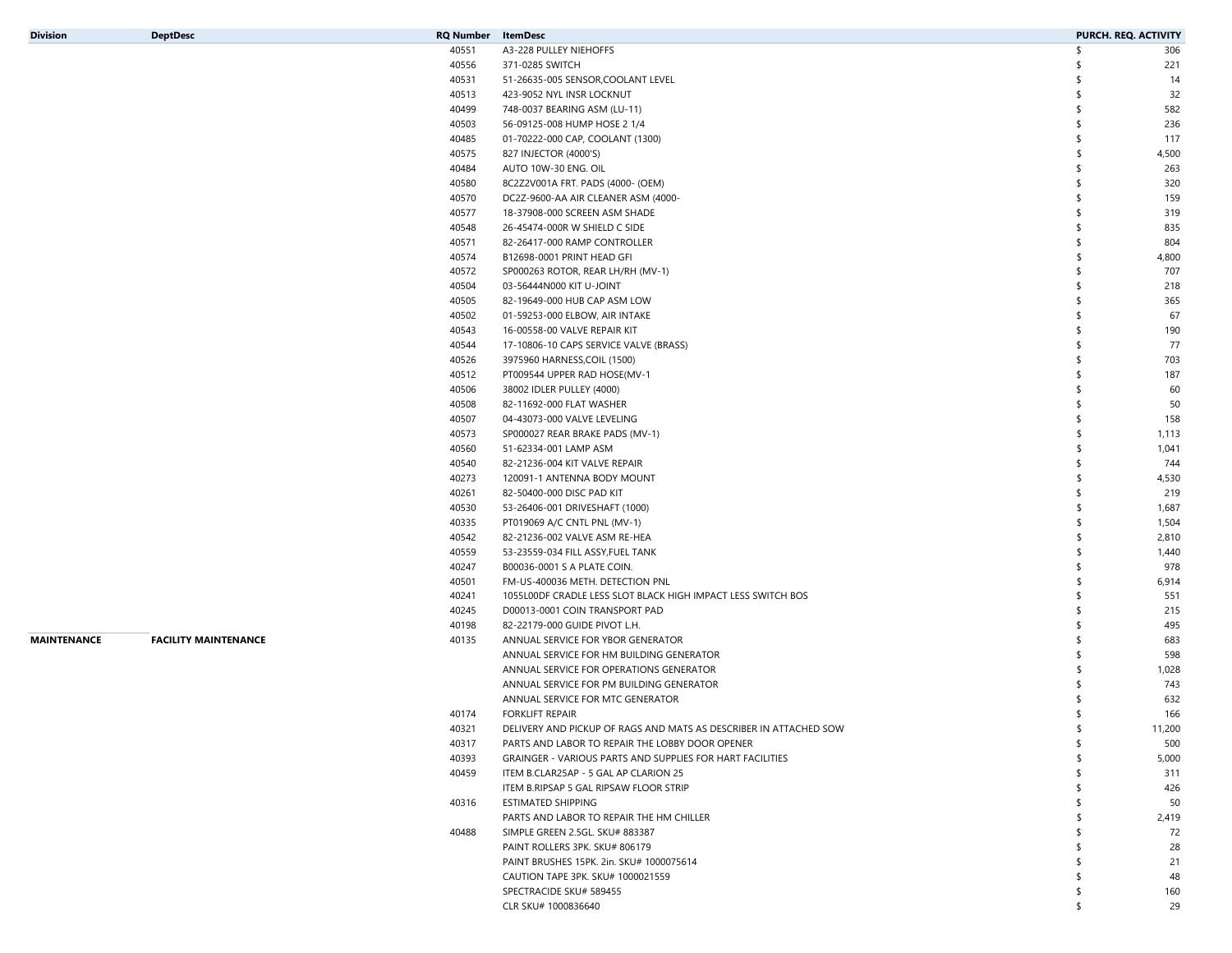| Division |  |
|----------|--|
|          |  |
|          |  |
|          |  |

| Division    | <b>DeptDesc</b>             | RQ Number | ItemDesc                                                          | <b>PURCH. REQ. ACTIVITY</b> |
|-------------|-----------------------------|-----------|-------------------------------------------------------------------|-----------------------------|
|             |                             | 40551     | A3-228 PULLEY NIEHOFFS                                            | \$<br>306                   |
|             |                             | 40556     | 371-0285 SWITCH                                                   | 221                         |
|             |                             | 40531     | 51-26635-005 SENSOR, COOLANT LEVEL                                | 14<br>\$                    |
|             |                             | 40513     | 423-9052 NYL INSR LOCKNUT                                         | 32<br>\$                    |
|             |                             | 40499     | 748-0037 BEARING ASM (LU-11)                                      | 582<br>-\$                  |
|             |                             | 40503     | 56-09125-008 HUMP HOSE 2 1/4                                      | 236<br>\$                   |
|             |                             | 40485     | 01-70222-000 CAP, COOLANT (1300)                                  | 117<br>\$                   |
|             |                             | 40575     | 827 INJECTOR (4000'S)                                             | Ŝ<br>4,500                  |
|             |                             | 40484     | AUTO 10W-30 ENG. OIL                                              | \$<br>263                   |
|             |                             | 40580     | 8C2Z2V001A FRT. PADS (4000- (OEM)                                 | 320<br>\$                   |
|             |                             | 40570     | DC2Z-9600-AA AIR CLEANER ASM (4000-                               | \$<br>159                   |
|             |                             | 40577     | 18-37908-000 SCREEN ASM SHADE                                     | 319<br>\$                   |
|             |                             | 40548     | 26-45474-000R W SHIELD C SIDE                                     | 835<br>\$                   |
|             |                             | 40571     | 82-26417-000 RAMP CONTROLLER                                      | 804<br>\$                   |
|             |                             | 40574     | B12698-0001 PRINT HEAD GFI                                        | Ŝ<br>4,800                  |
|             |                             | 40572     | SP000263 ROTOR, REAR LH/RH (MV-1)                                 | 707<br>\$                   |
|             |                             | 40504     | 03-56444N000 KIT U-JOINT                                          | \$<br>218                   |
|             |                             | 40505     | 82-19649-000 HUB CAP ASM LOW                                      | \$<br>365                   |
|             |                             | 40502     |                                                                   | 67<br>\$                    |
|             |                             |           | 01-59253-000 ELBOW, AIR INTAKE                                    | \$                          |
|             |                             | 40543     | 16-00558-00 VALVE REPAIR KIT                                      | 190<br>\$                   |
|             |                             | 40544     | 17-10806-10 CAPS SERVICE VALVE (BRASS)                            | 77                          |
|             |                             | 40526     | 3975960 HARNESS, COIL (1500)                                      | 703<br>\$                   |
|             |                             | 40512     | PT009544 UPPER RAD HOSE(MV-1                                      | 187<br>\$                   |
|             |                             | 40506     | 38002 IDLER PULLEY (4000)                                         | 60<br>\$                    |
|             |                             | 40508     | 82-11692-000 FLAT WASHER                                          | 50<br>-\$                   |
|             |                             | 40507     | 04-43073-000 VALVE LEVELING                                       | \$<br>158                   |
|             |                             | 40573     | SP000027 REAR BRAKE PADS (MV-1)                                   | \$<br>1,113                 |
|             |                             | 40560     | 51-62334-001 LAMP ASM                                             | \$<br>1,041                 |
|             |                             | 40540     | 82-21236-004 KIT VALVE REPAIR                                     | \$<br>744                   |
|             |                             | 40273     | 120091-1 ANTENNA BODY MOUNT                                       | \$<br>4,530                 |
|             |                             | 40261     | 82-50400-000 DISC PAD KIT                                         | \$<br>219                   |
|             |                             | 40530     | 53-26406-001 DRIVESHAFT (1000)                                    | \$<br>1,687                 |
|             |                             | 40335     | PT019069 A/C CNTL PNL (MV-1)                                      | Ŝ<br>1,504                  |
|             |                             | 40542     | 82-21236-002 VALVE ASM RE-HEA                                     | \$<br>2,810                 |
|             |                             | 40559     | 53-23559-034 FILL ASSY, FUEL TANK                                 | \$<br>1,440                 |
|             |                             | 40247     | B00036-0001 S A PLATE COIN.                                       | \$<br>978                   |
|             |                             | 40501     | FM-US-400036 METH. DETECTION PNL                                  | Ŝ<br>6,914                  |
|             |                             | 40241     | 1055L00DF CRADLE LESS SLOT BLACK HIGH IMPACT LESS SWITCH BOS      | 551<br>\$                   |
|             |                             | 40245     | D00013-0001 COIN TRANSPORT PAD                                    | 215<br>\$                   |
|             |                             | 40198     | 82-22179-000 GUIDE PIVOT L.H.                                     | \$<br>495                   |
| MAINTENANCE | <b>FACILITY MAINTENANCE</b> | 40135     | ANNUAL SERVICE FOR YBOR GENERATOR                                 | 683<br>\$                   |
|             |                             |           | ANNUAL SERVICE FOR HM BUILDING GENERATOR                          | 598<br>\$                   |
|             |                             |           | ANNUAL SERVICE FOR OPERATIONS GENERATOR                           | Ŝ<br>1,028                  |
|             |                             |           | ANNUAL SERVICE FOR PM BUILDING GENERATOR                          | 743                         |
|             |                             |           | ANNUAL SERVICE FOR MTC GENERATOR                                  | 632                         |
|             |                             | 40174     | <b>FORKLIFT REPAIR</b>                                            | 166<br>\$                   |
|             |                             | 40321     | DELIVERY AND PICKUP OF RAGS AND MATS AS DESCRIBER IN ATTACHED SOW | 11,200                      |
|             |                             | 40317     | PARTS AND LABOR TO REPAIR THE LOBBY DOOR OPENER                   | \$<br>500                   |
|             |                             | 40393     | GRAINGER - VARIOUS PARTS AND SUPPLIES FOR HART FACILITIES         | 5,000                       |
|             |                             | 40459     | ITEM B.CLAR25AP - 5 GAL AP CLARION 25                             | 311                         |
|             |                             |           | ITEM B.RIPSAP 5 GAL RIPSAW FLOOR STRIP                            | 426                         |
|             |                             | 40316     | ESTIMATED SHIPPING                                                | 50                          |
|             |                             |           | PARTS AND LABOR TO REPAIR THE HM CHILLER                          | 2,419                       |
|             |                             | 40488     | SIMPLE GREEN 2.5GL. SKU# 883387                                   | 72<br>-\$                   |
|             |                             |           | PAINT ROLLERS 3PK. SKU# 806179                                    | 28                          |
|             |                             |           | PAINT BRUSHES 15PK. 2in. SKU# 1000075614                          | 21                          |
|             |                             |           | CAUTION TAPE 3PK. SKU# 1000021559                                 | 48                          |
|             |                             |           | SPECTRACIDE SKU# 589455                                           | 160<br>\$                   |
|             |                             |           | CLR SKU# 1000836640                                               | \$<br>29                    |
|             |                             |           |                                                                   |                             |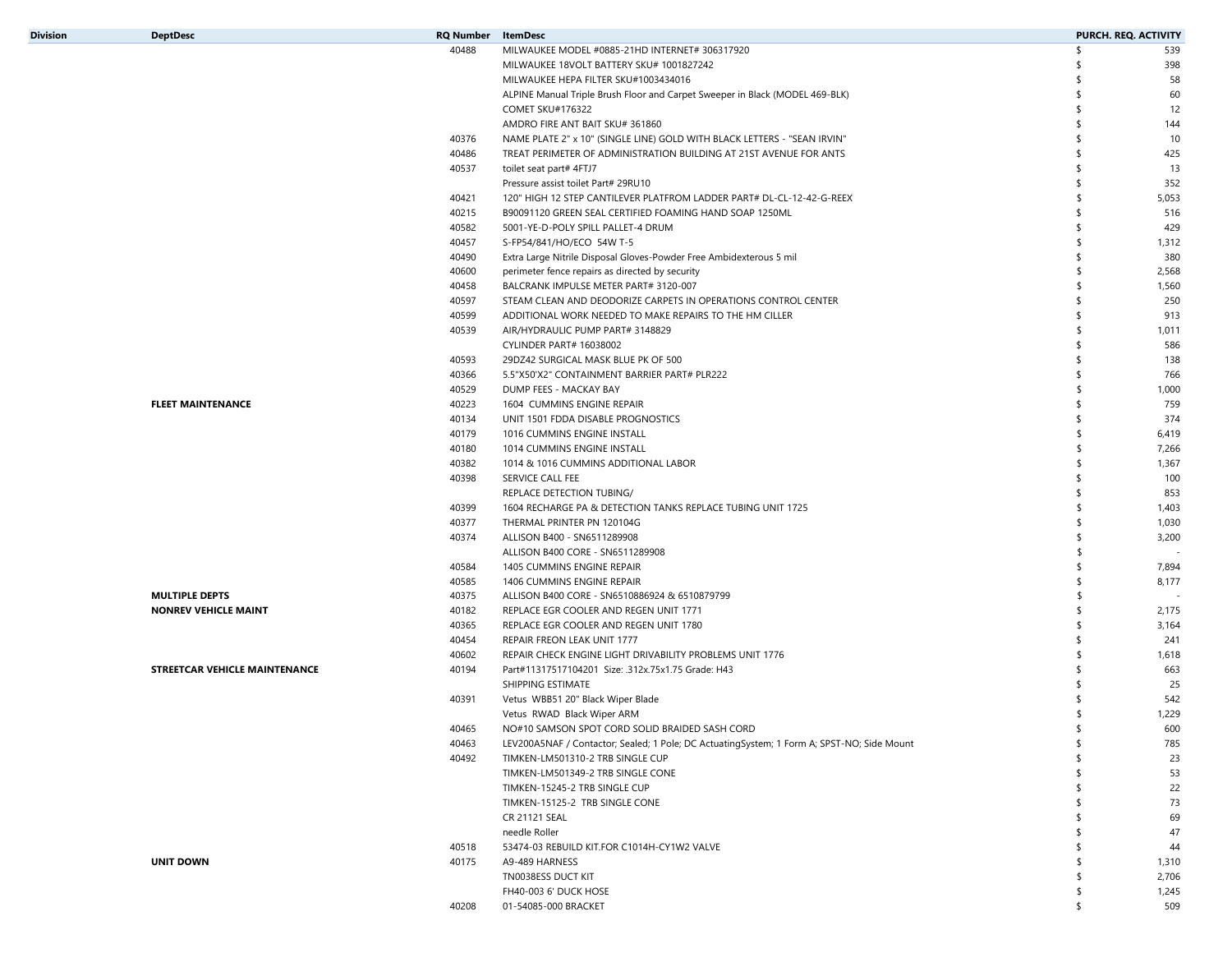| Division | <b>DeptDesc</b>                      | <b>RQ Number</b> | ItemDesc                                                                                   | <b>PURCH. REQ. ACTIVITY</b> |
|----------|--------------------------------------|------------------|--------------------------------------------------------------------------------------------|-----------------------------|
|          |                                      | 40488            | MILWAUKEE MODEL #0885-21HD INTERNET# 306317920                                             | \$<br>539                   |
|          |                                      |                  | MILWAUKEE 18VOLT BATTERY SKU# 1001827242                                                   | \$<br>398                   |
|          |                                      |                  | MILWAUKEE HEPA FILTER SKU#1003434016                                                       | \$<br>58                    |
|          |                                      |                  | ALPINE Manual Triple Brush Floor and Carpet Sweeper in Black (MODEL 469-BLK)               | \$<br>60                    |
|          |                                      |                  | COMET SKU#176322                                                                           | \$<br>12                    |
|          |                                      |                  | AMDRO FIRE ANT BAIT SKU# 361860                                                            | \$<br>144                   |
|          |                                      | 40376            | NAME PLATE 2" x 10" (SINGLE LINE) GOLD WITH BLACK LETTERS - "SEAN IRVIN"                   | \$<br>10                    |
|          |                                      | 40486            | TREAT PERIMETER OF ADMINISTRATION BUILDING AT 21ST AVENUE FOR ANTS                         | \$<br>425                   |
|          |                                      | 40537            | toilet seat part# 4FTJ7                                                                    | \$<br>13                    |
|          |                                      |                  | Pressure assist toilet Part# 29RU10                                                        | \$<br>352                   |
|          |                                      | 40421            | 120" HIGH 12 STEP CANTILEVER PLATFROM LADDER PART# DL-CL-12-42-G-REEX                      | \$<br>5,053                 |
|          |                                      | 40215            | B90091120 GREEN SEAL CERTIFIED FOAMING HAND SOAP 1250ML                                    | \$<br>516                   |
|          |                                      | 40582            | 5001-YE-D-POLY SPILL PALLET-4 DRUM                                                         | \$<br>429                   |
|          |                                      | 40457            | S-FP54/841/HO/ECO 54W T-5                                                                  | \$<br>1,312                 |
|          |                                      | 40490            | Extra Large Nitrile Disposal Gloves-Powder Free Ambidexterous 5 mil                        | \$<br>380                   |
|          |                                      | 40600            | perimeter fence repairs as directed by security                                            | \$<br>2,568                 |
|          |                                      | 40458            | BALCRANK IMPULSE METER PART# 3120-007                                                      | \$<br>1,560                 |
|          |                                      | 40597            | STEAM CLEAN AND DEODORIZE CARPETS IN OPERATIONS CONTROL CENTER                             | \$<br>250                   |
|          |                                      | 40599            | ADDITIONAL WORK NEEDED TO MAKE REPAIRS TO THE HM CILLER                                    | \$<br>913                   |
|          |                                      | 40539            | AIR/HYDRAULIC PUMP PART# 3148829                                                           | \$<br>1,011                 |
|          |                                      |                  | CYLINDER PART# 16038002                                                                    | \$<br>586                   |
|          |                                      | 40593            | 29DZ42 SURGICAL MASK BLUE PK OF 500                                                        | \$<br>138                   |
|          |                                      | 40366            | 5.5"X50'X2" CONTAINMENT BARRIER PART# PLR222                                               | \$<br>766                   |
|          |                                      |                  | DUMP FEES - MACKAY BAY                                                                     | \$                          |
|          |                                      | 40529            |                                                                                            | \$<br>1,000                 |
|          | <b>FLEET MAINTENANCE</b>             | 40223            | 1604 CUMMINS ENGINE REPAIR                                                                 | 759                         |
|          |                                      | 40134            | UNIT 1501 FDDA DISABLE PROGNOSTICS                                                         | \$<br>374                   |
|          |                                      | 40179            | 1016 CUMMINS ENGINE INSTALL                                                                | \$<br>6,419                 |
|          |                                      | 40180            | 1014 CUMMINS ENGINE INSTALL                                                                | \$<br>7,266                 |
|          |                                      | 40382            | 1014 & 1016 CUMMINS ADDITIONAL LABOR                                                       | \$<br>1,367                 |
|          |                                      | 40398            | SERVICE CALL FEE                                                                           | \$<br>100                   |
|          |                                      |                  | REPLACE DETECTION TUBING/                                                                  | \$<br>853                   |
|          |                                      | 40399            | 1604 RECHARGE PA & DETECTION TANKS REPLACE TUBING UNIT 1725                                | \$<br>1,403                 |
|          |                                      | 40377            | THERMAL PRINTER PN 120104G                                                                 | \$<br>1,030                 |
|          |                                      | 40374            | ALLISON B400 - SN6511289908                                                                | \$<br>3,200                 |
|          |                                      |                  | ALLISON B400 CORE - SN6511289908                                                           | \$                          |
|          |                                      | 40584            | 1405 CUMMINS ENGINE REPAIR                                                                 | \$<br>7,894                 |
|          |                                      | 40585            | 1406 CUMMINS ENGINE REPAIR                                                                 | \$<br>8,177                 |
|          | <b>MULTIPLE DEPTS</b>                | 40375            | ALLISON B400 CORE - SN6510886924 & 6510879799                                              | \$                          |
|          | <b>NONREV VEHICLE MAINT</b>          | 40182            | REPLACE EGR COOLER AND REGEN UNIT 1771                                                     | \$<br>2,175                 |
|          |                                      | 40365            | REPLACE EGR COOLER AND REGEN UNIT 1780                                                     | \$<br>3,164                 |
|          |                                      | 40454            | REPAIR FREON LEAK UNIT 1777                                                                | \$<br>241                   |
|          |                                      | 40602            | REPAIR CHECK ENGINE LIGHT DRIVABILITY PROBLEMS UNIT 1776                                   | \$<br>1,618                 |
|          | <b>STREETCAR VEHICLE MAINTENANCE</b> | 40194            | Part#11317517104201 Size: .312x.75x1.75 Grade: H43                                         | \$<br>663                   |
|          |                                      |                  | SHIPPING ESTIMATE                                                                          | \$<br>25                    |
|          |                                      | 40391            | Vetus WBB51 20" Black Wiper Blade                                                          | 542                         |
|          |                                      |                  | Vetus RWAD Black Wiper ARM                                                                 | \$<br>1,229                 |
|          |                                      | 40465            | NO#10 SAMSON SPOT CORD SOLID BRAIDED SASH CORD                                             | 600                         |
|          |                                      | 40463            | LEV200A5NAF / Contactor; Sealed; 1 Pole; DC ActuatingSystem; 1 Form A; SPST-NO; Side Mount | \$<br>785                   |
|          |                                      | 40492            | TIMKEN-LM501310-2 TRB SINGLE CUP                                                           | \$<br>23                    |
|          |                                      |                  | TIMKEN-LM501349-2 TRB SINGLE CONE                                                          | \$<br>53                    |
|          |                                      |                  | TIMKEN-15245-2 TRB SINGLE CUP                                                              | \$<br>22                    |
|          |                                      |                  | TIMKEN-15125-2 TRB SINGLE CONE                                                             | \$<br>73                    |
|          |                                      |                  | CR 21121 SEAL                                                                              | \$<br>69                    |
|          |                                      |                  | needle Roller                                                                              | \$<br>47                    |
|          |                                      | 40518            | 53474-03 REBUILD KIT.FOR C1014H-CY1W2 VALVE                                                | \$<br>44                    |
|          | <b>UNIT DOWN</b>                     | 40175            | A9-489 HARNESS                                                                             | \$<br>1,310                 |
|          |                                      |                  | TN0038ESS DUCT KIT                                                                         | \$<br>2,706                 |
|          |                                      |                  | FH40-003 6' DUCK HOSE                                                                      | \$<br>1,245                 |
|          |                                      | 40208            | 01-54085-000 BRACKET                                                                       | \$<br>509                   |
|          |                                      |                  |                                                                                            |                             |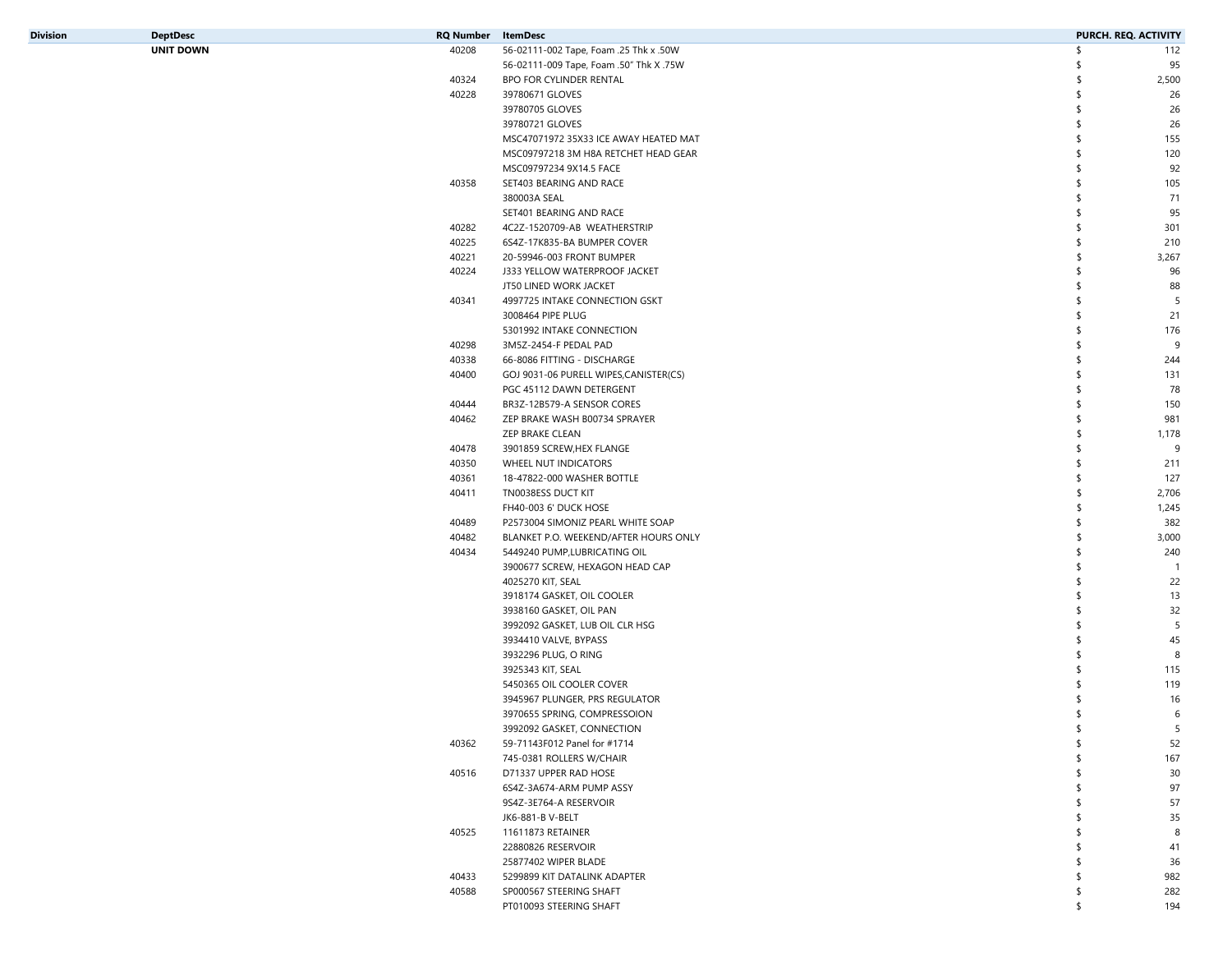| Division | <b>DeptDesc</b>  | RQ Number | ltemDesc                                | PURCH. REQ. ACTIVITY |       |
|----------|------------------|-----------|-----------------------------------------|----------------------|-------|
|          | <b>UNIT DOWN</b> | 40208     | 56-02111-002 Tape, Foam .25 Thk x .50W  | \$                   | 112   |
|          |                  |           | 56-02111-009 Tape, Foam .50" Thk X .75W | S                    | 95    |
|          |                  | 40324     | <b>BPO FOR CYLINDER RENTAL</b>          | \$                   | 2,500 |
|          |                  | 40228     | 39780671 GLOVES                         | \$                   | 26    |
|          |                  |           | 39780705 GLOVES                         | \$                   | 26    |
|          |                  |           | 39780721 GLOVES                         | \$                   | 26    |
|          |                  |           | MSC47071972 35X33 ICE AWAY HEATED MAT   | \$                   | 155   |
|          |                  |           | MSC09797218 3M H8A RETCHET HEAD GEAR    | \$                   | 120   |
|          |                  |           | MSC09797234 9X14.5 FACE                 | \$                   | 92    |
|          |                  | 40358     | SET403 BEARING AND RACE                 | \$                   | 105   |
|          |                  |           | 380003A SEAL                            |                      |       |
|          |                  |           |                                         | \$                   | 71    |
|          |                  |           | SET401 BEARING AND RACE                 | \$                   | 95    |
|          |                  | 40282     | 4C2Z-1520709-AB WEATHERSTRIP            | \$                   | 301   |
|          |                  | 40225     | 6S4Z-17K835-BA BUMPER COVER             | \$                   | 210   |
|          |                  | 40221     | 20-59946-003 FRONT BUMPER               | \$                   | 3,267 |
|          |                  | 40224     | J333 YELLOW WATERPROOF JACKET           | \$                   | 96    |
|          |                  |           | JT50 LINED WORK JACKET                  | \$                   | 88    |
|          |                  | 40341     | 4997725 INTAKE CONNECTION GSKT          | \$                   | 5     |
|          |                  |           | 3008464 PIPE PLUG                       | \$                   | 21    |
|          |                  |           | 5301992 INTAKE CONNECTION               | \$                   | 176   |
|          |                  | 40298     | 3M5Z-2454-F PEDAL PAD                   | \$                   | 9     |
|          |                  | 40338     | 66-8086 FITTING - DISCHARGE             | \$                   | 244   |
|          |                  | 40400     | GOJ 9031-06 PURELL WIPES, CANISTER(CS)  | \$                   | 131   |
|          |                  |           | PGC 45112 DAWN DETERGENT                | \$                   | 78    |
|          |                  | 40444     | BR3Z-12B579-A SENSOR CORES              | \$                   | 150   |
|          |                  | 40462     | ZEP BRAKE WASH B00734 SPRAYER           | \$                   | 981   |
|          |                  |           | ZEP BRAKE CLEAN                         | \$                   | 1,178 |
|          |                  | 40478     | 3901859 SCREW, HEX FLANGE               | \$                   | 9     |
|          |                  | 40350     | WHEEL NUT INDICATORS                    | \$                   | 211   |
|          |                  | 40361     | 18-47822-000 WASHER BOTTLE              | \$                   | 127   |
|          |                  | 40411     | TN0038ESS DUCT KIT                      | \$                   | 2,706 |
|          |                  |           | FH40-003 6' DUCK HOSE                   | \$                   | 1,245 |
|          |                  | 40489     | P2573004 SIMONIZ PEARL WHITE SOAP       | \$                   | 382   |
|          |                  | 40482     | BLANKET P.O. WEEKEND/AFTER HOURS ONLY   | \$                   | 3,000 |
|          |                  | 40434     | 5449240 PUMP,LUBRICATING OIL            | \$                   | 240   |
|          |                  |           | 3900677 SCREW, HEXAGON HEAD CAP         | \$                   | - 1   |
|          |                  |           |                                         | \$                   |       |
|          |                  |           | 4025270 KIT, SEAL                       |                      | 22    |
|          |                  |           | 3918174 GASKET, OIL COOLER              | \$                   | 13    |
|          |                  |           | 3938160 GASKET, OIL PAN                 | \$                   | 32    |
|          |                  |           | 3992092 GASKET, LUB OIL CLR HSG         | \$                   | 5     |
|          |                  |           | 3934410 VALVE, BYPASS                   | \$                   | 45    |
|          |                  |           | 3932296 PLUG, O RING                    | \$                   | 8     |
|          |                  |           | 3925343 KIT, SEAL                       | \$                   | 115   |
|          |                  |           | 5450365 OIL COOLER COVER                |                      | 119   |
|          |                  |           | 3945967 PLUNGER, PRS REGULATOR          |                      | 16    |
|          |                  |           | 3970655 SPRING, COMPRESSOION            | S                    | 6     |
|          |                  |           | 3992092 GASKET, CONNECTION              |                      | 5     |
|          |                  | 40362     | 59-71143F012 Panel for #1714            | \$                   | 52    |
|          |                  |           | 745-0381 ROLLERS W/CHAIR                | \$                   | 167   |
|          |                  | 40516     | D71337 UPPER RAD HOSE                   | \$                   | 30    |
|          |                  |           | 6S4Z-3A674-ARM PUMP ASSY                | \$                   | 97    |
|          |                  |           | 9S4Z-3E764-A RESERVOIR                  | \$                   | 57    |
|          |                  |           | JK6-881-B V-BELT                        | \$                   | 35    |
|          |                  | 40525     | 11611873 RETAINER                       | \$                   | 8     |
|          |                  |           | 22880826 RESERVOIR                      | \$                   | 41    |
|          |                  |           | 25877402 WIPER BLADE                    | \$                   | 36    |
|          |                  | 40433     | 5299899 KIT DATALINK ADAPTER            | \$                   | 982   |
|          |                  | 40588     | SP000567 STEERING SHAFT                 | \$                   | 282   |
|          |                  |           | PT010093 STEERING SHAFT                 | \$                   | 194   |
|          |                  |           |                                         |                      |       |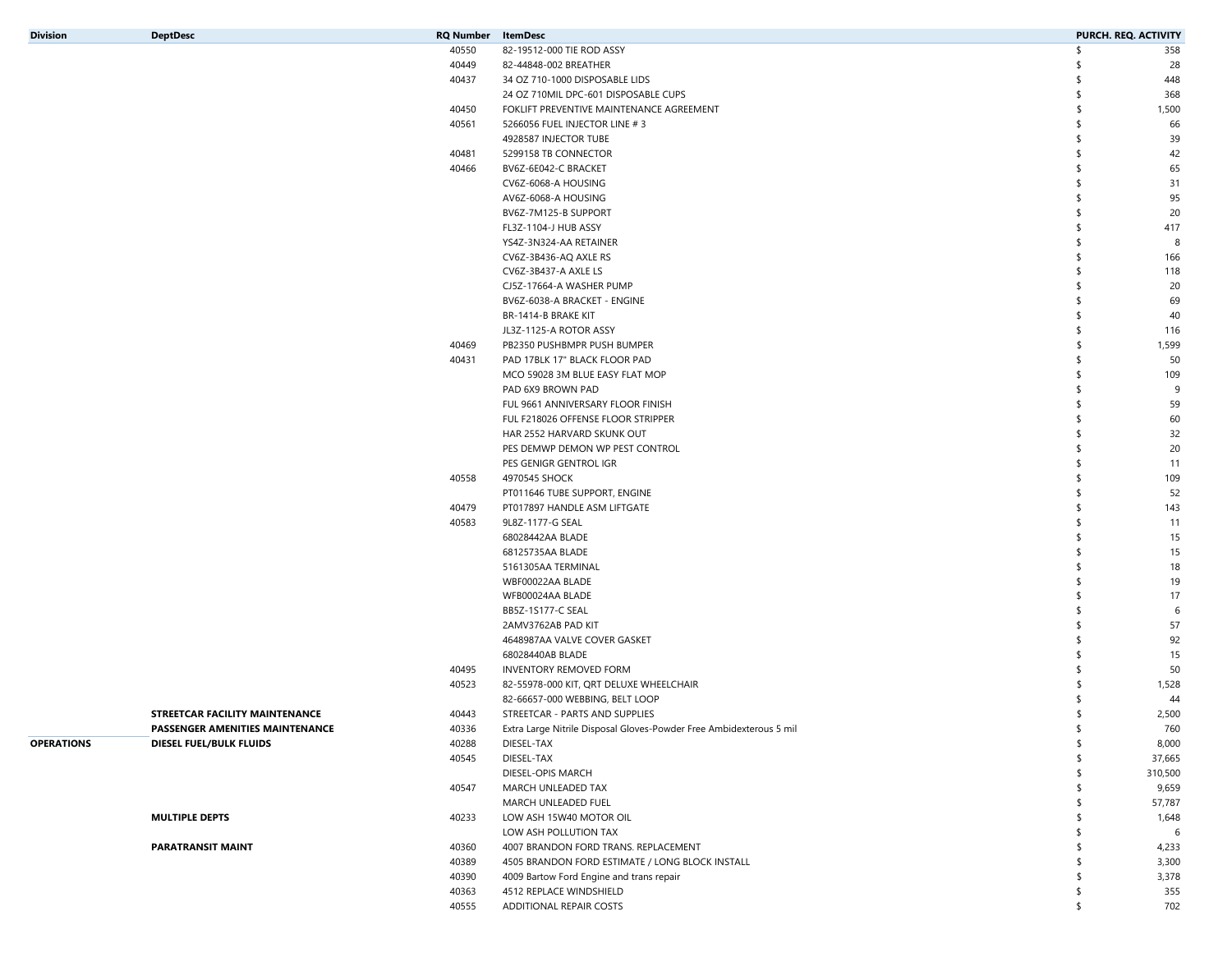| Division |  |
|----------|--|
|----------|--|

| Division          | <b>DeptDesc</b>                 | RQ Number | ItemDesc                                                            | <b>PURCH. REQ. ACTIVITY</b> |         |
|-------------------|---------------------------------|-----------|---------------------------------------------------------------------|-----------------------------|---------|
|                   |                                 | 40550     | 82-19512-000 TIE ROD ASSY                                           | \$                          | 358     |
|                   |                                 | 40449     | 82-44848-002 BREATHER                                               |                             | 28      |
|                   |                                 | 40437     | 34 OZ 710-1000 DISPOSABLE LIDS                                      |                             | 448     |
|                   |                                 |           | 24 OZ 710MIL DPC-601 DISPOSABLE CUPS                                | \$                          | 368     |
|                   |                                 | 40450     | FOKLIFT PREVENTIVE MAINTENANCE AGREEMENT                            | \$                          | 1,500   |
|                   |                                 | 40561     | 5266056 FUEL INJECTOR LINE #3                                       |                             | 66      |
|                   |                                 |           | 4928587 INJECTOR TUBE                                               |                             | 39      |
|                   |                                 | 40481     | 5299158 TB CONNECTOR                                                |                             | 42      |
|                   |                                 | 40466     | BV6Z-6E042-C BRACKET                                                |                             | 65      |
|                   |                                 |           | CV6Z-6068-A HOUSING                                                 | \$                          | 31      |
|                   |                                 |           | AV6Z-6068-A HOUSING                                                 |                             | 95      |
|                   |                                 |           |                                                                     |                             |         |
|                   |                                 |           | BV6Z-7M125-B SUPPORT                                                |                             | 20      |
|                   |                                 |           | FL3Z-1104-J HUB ASSY                                                |                             | 417     |
|                   |                                 |           | YS4Z-3N324-AA RETAINER                                              | -S                          | 8       |
|                   |                                 |           | CV6Z-3B436-AQ AXLE RS                                               | \$                          | 166     |
|                   |                                 |           | CV6Z-3B437-A AXLE LS                                                |                             | 118     |
|                   |                                 |           | CJ5Z-17664-A WASHER PUMP                                            | \$                          | 20      |
|                   |                                 |           | BV6Z-6038-A BRACKET - ENGINE                                        | \$                          | 69      |
|                   |                                 |           | BR-1414-B BRAKE KIT                                                 |                             | 40      |
|                   |                                 |           | JL3Z-1125-A ROTOR ASSY                                              | \$                          | 116     |
|                   |                                 | 40469     | PB2350 PUSHBMPR PUSH BUMPER                                         | -S                          | 1,599   |
|                   |                                 | 40431     | PAD 17BLK 17" BLACK FLOOR PAD                                       | \$                          | 50      |
|                   |                                 |           | MCO 59028 3M BLUE EASY FLAT MOP                                     | \$                          | 109     |
|                   |                                 |           | PAD 6X9 BROWN PAD                                                   | -S                          | 9       |
|                   |                                 |           | FUL 9661 ANNIVERSARY FLOOR FINISH                                   |                             | 59      |
|                   |                                 |           | FUL F218026 OFFENSE FLOOR STRIPPER                                  |                             | 60      |
|                   |                                 |           | HAR 2552 HARVARD SKUNK OUT                                          |                             | 32      |
|                   |                                 |           | PES DEMWP DEMON WP PEST CONTROL                                     |                             | 20      |
|                   |                                 |           | PES GENIGR GENTROL IGR                                              |                             | 11      |
|                   |                                 | 40558     | 4970545 SHOCK                                                       |                             | 109     |
|                   |                                 |           | PT011646 TUBE SUPPORT, ENGINE                                       |                             | 52      |
|                   |                                 | 40479     | PT017897 HANDLE ASM LIFTGATE                                        |                             | 143     |
|                   |                                 | 40583     | 9L8Z-1177-G SEAL                                                    | -S                          | 11      |
|                   |                                 |           | 68028442AA BLADE                                                    |                             | 15      |
|                   |                                 |           | 68125735AA BLADE                                                    |                             | 15      |
|                   |                                 |           | 5161305AA TERMINAL                                                  | -S                          | 18      |
|                   |                                 |           | WBF00022AA BLADE                                                    |                             | 19      |
|                   |                                 |           |                                                                     |                             |         |
|                   |                                 |           | WFB00024AA BLADE                                                    |                             | 17      |
|                   |                                 |           | BB5Z-1S177-C SEAL                                                   |                             | 6       |
|                   |                                 |           | 2AMV3762AB PAD KIT                                                  |                             | 57      |
|                   |                                 |           | 4648987AA VALVE COVER GASKET                                        |                             | 92      |
|                   |                                 |           | 68028440AB BLADE                                                    | -S                          | 15      |
|                   |                                 | 40495     | <b>INVENTORY REMOVED FORM</b>                                       | -S                          | 50      |
|                   |                                 | 40523     | 82-55978-000 KIT, QRT DELUXE WHEELCHAIR                             |                             | 1,528   |
|                   |                                 |           | 82-66657-000 WEBBING, BELT LOOP                                     |                             | 44      |
|                   | STREETCAR FACILITY MAINTENANCE  | 40443     | STREETCAR - PARTS AND SUPPLIES                                      | S                           | 2,500   |
|                   | PASSENGER AMENITIES MAINTENANCE | 40336     | Extra Large Nitrile Disposal Gloves-Powder Free Ambidexterous 5 mil |                             | 760     |
| <b>OPERATIONS</b> | DIESEL FUEL/BULK FLUIDS         | 40288     | DIESEL-TAX                                                          | \$                          | 8,000   |
|                   |                                 | 40545     | DIESEL-TAX                                                          | \$                          | 37,665  |
|                   |                                 |           | DIESEL-OPIS MARCH                                                   | Ŝ.                          | 310,500 |
|                   |                                 | 40547     | MARCH UNLEADED TAX                                                  | \$                          | 9,659   |
|                   |                                 |           | MARCH UNLEADED FUEL                                                 | S                           | 57,787  |
|                   | <b>MULTIPLE DEPTS</b>           | 40233     | LOW ASH 15W40 MOTOR OIL                                             |                             | 1,648   |
|                   |                                 |           | LOW ASH POLLUTION TAX                                               | \$                          | 6       |
|                   | PARATRANSIT MAINT               | 40360     | 4007 BRANDON FORD TRANS. REPLACEMENT                                | \$                          | 4,233   |
|                   |                                 | 40389     | 4505 BRANDON FORD ESTIMATE / LONG BLOCK INSTALL                     | \$                          | 3,300   |
|                   |                                 | 40390     | 4009 Bartow Ford Engine and trans repair                            |                             | 3,378   |
|                   |                                 | 40363     | 4512 REPLACE WINDSHIELD                                             | \$                          | 355     |
|                   |                                 | 40555     | ADDITIONAL REPAIR COSTS                                             | \$                          | 702     |
|                   |                                 |           |                                                                     |                             |         |

|     | STREETCAR FACILITY MAINTENANCE         |
|-----|----------------------------------------|
|     | <b>PASSENGER AMENITIES MAINTENANCE</b> |
| ١NS | <b>DIESEL FUEL/BULK FLUIDS</b>         |
|     |                                        |